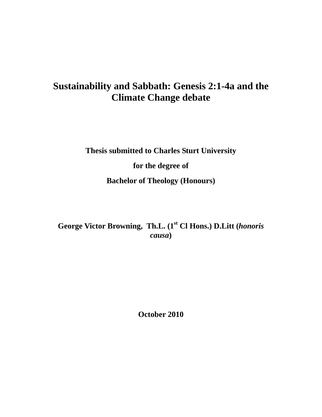# **Sustainability and Sabbath: Genesis 2:1-4a and the Climate Change debate**

**Thesis submitted to Charles Sturt University for the degree of Bachelor of Theology (Honours)** 

**George Victor Browning, Th.L. (1st Cl Hons.) D.Litt (***honoris causa***)** 

**October 2010**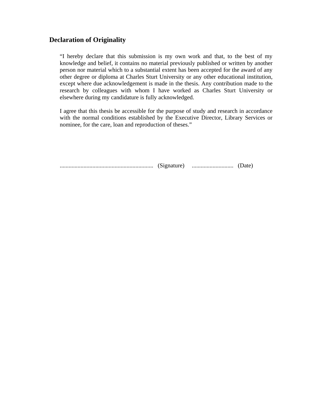### **Declaration of Originality**

"I hereby declare that this submission is my own work and that, to the best of my knowledge and belief, it contains no material previously published or written by another person nor material which to a substantial extent has been accepted for the award of any other degree or diploma at Charles Sturt University or any other educational institution, except where due acknowledgement is made in the thesis. Any contribution made to the research by colleagues with whom I have worked as Charles Sturt University or elsewhere during my candidature is fully acknowledged.

I agree that this thesis be accessible for the purpose of study and research in accordance with the normal conditions established by the Executive Director, Library Services or nominee, for the care, loan and reproduction of theses."

............................................................... (Signature) ............................ (Date)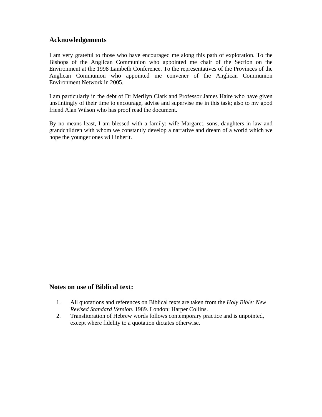### **Acknowledgements**

I am very grateful to those who have encouraged me along this path of exploration. To the Bishops of the Anglican Communion who appointed me chair of the Section on the Environment at the 1998 Lambeth Conference. To the representatives of the Provinces of the Anglican Communion who appointed me convener of the Anglican Communion Environment Network in 2005.

I am particularly in the debt of Dr Merilyn Clark and Professor James Haire who have given unstintingly of their time to encourage, advise and supervise me in this task; also to my good friend Alan Wilson who has proof read the document.

By no means least, I am blessed with a family: wife Margaret, sons, daughters in law and grandchildren with whom we constantly develop a narrative and dream of a world which we hope the younger ones will inherit.

### **Notes on use of Biblical text:**

- 1. All quotations and references on Biblical texts are taken from the *Holy Bible: New Revised Standard Version*. 1989. London: Harper Collins.
- 2. Transliteration of Hebrew words follows contemporary practice and is unpointed, except where fidelity to a quotation dictates otherwise.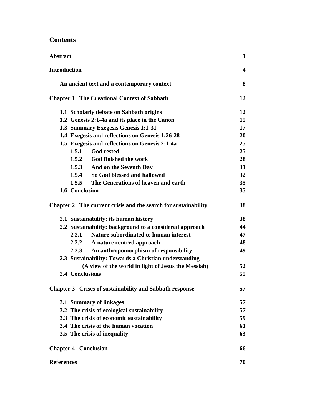# **Contents**

| <b>Abstract</b>                                                | 1                       |
|----------------------------------------------------------------|-------------------------|
| <b>Introduction</b>                                            | $\overline{\mathbf{4}}$ |
| An ancient text and a contemporary context                     | 8                       |
| <b>Chapter 1 The Creational Context of Sabbath</b>             | 12                      |
| 1.1 Scholarly debate on Sabbath origins                        | 12                      |
| 1.2 Genesis 2:1-4a and its place in the Canon                  | 15                      |
| 1.3 Summary Exegesis Genesis 1:1-31                            | 17                      |
| 1.4 Exegesis and reflections on Genesis 1:26-28                | 20                      |
| 1.5 Exegesis and reflections on Genesis 2:1-4a                 | 25                      |
| 1.5.1<br><b>God rested</b>                                     | 25                      |
| 1.5.2 God finished the work                                    | 28                      |
| 1.5.3<br>And on the Seventh Day                                | 31                      |
| 1.5.4<br>So God blessed and hallowed                           | 32                      |
| 1.5.5<br>The Generations of heaven and earth                   | 35                      |
| 1.6 Conclusion                                                 | 35                      |
| Chapter 2 The current crisis and the search for sustainability | 38                      |
| 2.1 Sustainability: its human history                          | 38                      |
| 2.2 Sustainability: background to a considered approach        | 44                      |
| <b>Nature subordinated to human interest</b><br>2.2.1          | 47                      |
| 2.2.2<br>A nature centred approach                             | 48                      |
| 2.2.3<br>An anthropomorphism of responsibility                 | 49                      |
| 2.3 Sustainability: Towards a Christian understanding          |                         |
| (A view of the world in light of Jesus the Messiah)            | 52                      |
| 2.4 Conclusions                                                | 55                      |
| Chapter 3 Crises of sustainability and Sabbath response        | 57                      |
| 3.1 Summary of linkages                                        | 57                      |
| 3.2 The crisis of ecological sustainability                    | 57                      |
| 3.3 The crisis of economic sustainability                      | 59                      |
| 3.4 The crisis of the human vocation                           | 61                      |
| 3.5 The crisis of inequality                                   | 63                      |
| <b>Chapter 4 Conclusion</b>                                    | 66                      |
| <b>References</b>                                              | 70                      |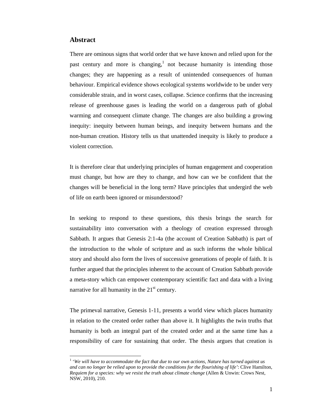#### **Abstract**

 $\overline{a}$ 

There are ominous signs that world order that we have known and relied upon for the past century and more is changing,<sup>1</sup> not because humanity is intending those changes; they are happening as a result of unintended consequences of human behaviour. Empirical evidence shows ecological systems worldwide to be under very considerable strain, and in worst cases, collapse. Science confirms that the increasing release of greenhouse gases is leading the world on a dangerous path of global warming and consequent climate change. The changes are also building a growing inequity: inequity between human beings, and inequity between humans and the non-human creation. History tells us that unattended inequity is likely to produce a violent correction.

It is therefore clear that underlying principles of human engagement and cooperation must change, but how are they to change, and how can we be confident that the changes will be beneficial in the long term? Have principles that undergird the web of life on earth been ignored or misunderstood?

In seeking to respond to these questions, this thesis brings the search for sustainability into conversation with a theology of creation expressed through Sabbath. It argues that Genesis 2:1-4a (the account of Creation Sabbath) is part of the introduction to the whole of scripture and as such informs the whole biblical story and should also form the lives of successive generations of people of faith. It is further argued that the principles inherent to the account of Creation Sabbath provide a meta-story which can empower contemporary scientific fact and data with a living narrative for all humanity in the  $21<sup>st</sup>$  century.

The primeval narrative, Genesis 1-11, presents a world view which places humanity in relation to the created order rather than above it. It highlights the twin truths that humanity is both an integral part of the created order and at the same time has a responsibility of care for sustaining that order. The thesis argues that creation is

<sup>&</sup>lt;sup>1</sup> 'We will have to accommodate the fact that due to our own actions, Nature has turned against us *and can no longer be relied upon to provide the conditions for the flourishing of life'*: Clive Hamilton, *Requiem for a species: why we resist the truth about climate change* (Allen & Unwin: Crows Nest, NSW, 2010), 210.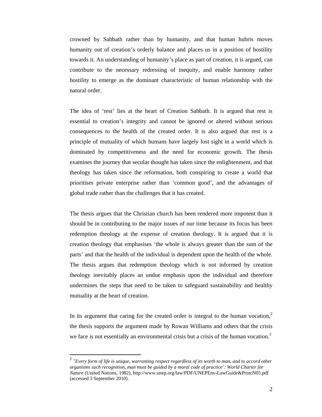crowned by Sabbath rather than by humanity, and that human hubris moves humanity out of creation's orderly balance and places us in a position of hostility towards it. An understanding of humanity's place as part of creation, it is argued, can contribute to the necessary redressing of inequity, and enable harmony rather hostility to emerge as the dominant characteristic of human relationship with the natural order.

The idea of 'rest' lies at the heart of Creation Sabbath. It is argued that rest is essential to creation's integrity and cannot be ignored or altered without serious consequences to the health of the created order. It is also argued that rest is a principle of mutuality of which humans have largely lost sight in a world which is dominated by competitiveness and the need for economic growth. The thesis examines the journey that secular thought has taken since the enlightenment, and that theology has taken since the reformation, both conspiring to create a world that prioritises private enterprise rather than 'common good', and the advantages of global trade rather than the challenges that it has created.

The thesis argues that the Christian church has been rendered more impotent than it should be in contributing to the major issues of our time because its focus has been redemption theology at the expense of creation theology. It is argued that it is creation theology that emphasises 'the whole is always greater than the sum of the parts' and that the health of the individual is dependent upon the health of the whole. The thesis argues that redemption theology which is not informed by creation theology inevitably places an undue emphasis upon the individual and therefore undermines the steps that need to be taken to safeguard sustainability and healthy mutuality at the heart of creation.

In its argument that caring for the created order is integral to the human vocation, $<sup>2</sup>$ </sup> the thesis supports the argument made by Rowan Williams and others that the crisis we face is not essentially an environmental crisis but a crisis of the human vocation.<sup>3</sup>

<sup>2</sup> '*Every form of life is unique, warranting respect regardless of its worth to man, and to accord other organisms such recognition, man must be guided by a moral code of practice': World Charter for Nature* (United Nations, 1982), http://www.unep.org/law/PDF/UNEPEnv-LawGuide&PrincN05.pdf (accessed 3 September 2010).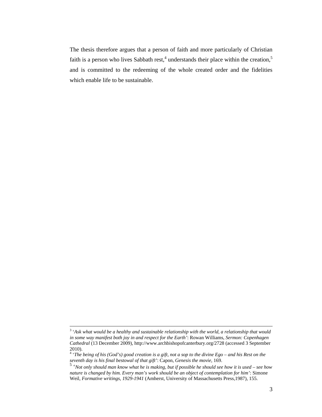The thesis therefore argues that a person of faith and more particularly of Christian faith is a person who lives Sabbath rest,<sup>4</sup> understands their place within the creation,<sup>5</sup> and is committed to the redeeming of the whole created order and the fidelities which enable life to be sustainable.

 $\frac{1}{3}$  '*Ask what would be a healthy and sustainable relationship with the world, a relationship that would in some way manifest both joy in and respect for the Earth'*: Rowan Williams, *Sermon: Copenhagen Cathedral* (13 December 2009), http://www.archbishopofcanterbury.org/2728 (accessed 3 September 2010).

<sup>4</sup> '*The being of his (God's) good creation is a gift, not a sop to the divine Ego – and his Rest on the seventh day is his final bestowal of that gift'*: Capon, *Genesis the movie,* 169.

<sup>5</sup> '*Not only should man know what he is making, but if possible he should see how it is used – see how nature is changed by him. Every man's work should be an object of contemplation for him'*: Simone Weil, *Formative writings, 1929-1941* (Amherst, University of Massachusetts Press,1987), 155.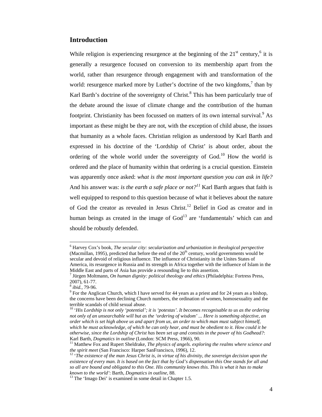### **Introduction**

While religion is experiencing resurgence at the beginning of the  $21<sup>st</sup>$  century,<sup>6</sup> it is generally a resurgence focused on conversion to its membership apart from the world, rather than resurgence through engagement with and transformation of the world: resurgence marked more by Luther's doctrine of the two kingdoms, $\frac{7}{1}$  than by Karl Barth's doctrine of the sovereignty of Christ.<sup>8</sup> This has been particularly true of the debate around the issue of climate change and the contribution of the human footprint. Christianity has been focussed on matters of its own internal survival.<sup>9</sup> As important as these might be they are not, with the exception of child abuse, the issues that humanity as a whole faces. Christian religion as understood by Karl Barth and expressed in his doctrine of the 'Lordship of Christ' is about order, about the ordering of the whole world under the sovereignty of God.<sup>10</sup> How the world is ordered and the place of humanity within that ordering is a crucial question. Einstein was apparently once asked: *what is the most important question you can ask in life?* And his answer was: *is the earth a safe place or not?<sup>11</sup>* Karl Barth argues that faith is well equipped to respond to this question because of what it believes about the nature of God the creator as revealed in Jesus Christ.<sup>12</sup> Belief in God as creator and in human beings as created in the image of  $God<sup>13</sup>$  are 'fundamentals' which can and should be robustly defended.

<sup>6</sup> Harvey Cox's book, *The secular city: secularization and urbanization in theological perspective*  (Macmillan, 1995), predicted that before the end of the  $20<sup>th</sup>$  century, world governments would be secular and devoid of religious influence. The influence of Christianity in the Unites States of America, its resurgence in Russia and its strength in Africa together with the influence of Islam in the Middle East and parts of Asia has provide a resounding lie to this assertion.

<sup>7</sup> Jürgen Moltmann, *On human dignity: political theology and ethics* (Philadelphia: Fortress Press, 2007), 61-77.

<sup>&</sup>lt;sup>8</sup> *ibid.*, 79-96.

<sup>&</sup>lt;sup>9</sup> For the Anglican Church, which I have served for 44 years as a priest and for 24 years as a bishop, the concerns have been declining Church numbers, the ordination of women, homosexuality and the terrible scandals of child sexual abuse.

<sup>&</sup>lt;sup>10</sup> '*His Lordship is not only 'potential'; it is 'potestas'. It becomes recognisable to us as the ordering not only of an unsearchable will but as the 'ordering of wisdom' ... Here is something objective, an order which is set high above us and apart from us, an order to which man must subject himself, which he must acknowledge, of which he can only hear, and must be obedient to it. How could it be otherwise, since the Lordship of Christ has been set up and consists in the power of his Godhead?*: Karl Barth, *Dogmatics in outline* (London: SCM Press, 1966), 90.<br><sup>11</sup> Matthew Fox and Rupert Sheldrake, *The physics of angels. exploring the realms where science and* 

*the spirit meet* (San Francisco: Harper SanFrancisco, 1996), 12.<br><sup>12</sup> '*The existence of the man Jesus Christ is, in virtue of his divinity, the sovereign decision upon the* 

*existence of every man. It is based on the fact that by God's dispensation this One stands for all and so all are bound and obligated to this One. His community knows this. This is what it has to make known to the world'*: Barth, *Dogmatics in outline*, 88. <sup>13</sup> The 'Imago Dei' is examined in some detail in Chapter 1.5.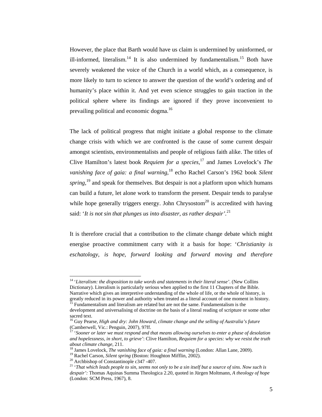However, the place that Barth would have us claim is undermined by uninformed, or ill-informed, literalism.<sup>14</sup> It is also undermined by fundamentalism.<sup>15</sup> Both have severely weakened the voice of the Church in a world which, as a consequence, is more likely to turn to science to answer the question of the world's ordering and of humanity's place within it. And yet even science struggles to gain traction in the political sphere where its findings are ignored if they prove inconvenient to prevailing political and economic dogma.<sup>16</sup>

The lack of political progress that might initiate a global response to the climate change crisis with which we are confronted is the cause of some current despair amongst scientists, environmentalists and people of religious faith alike. The titles of Clive Hamilton's latest book *Requiem for a species,*17 and James Lovelock's *The vanishing face of gaia: a final warning,*<sup>18</sup> echo Rachel Carson's 1962 book *Silent spring*,<sup>19</sup> and speak for themselves. But despair is not a platform upon which humans can build a future, let alone work to transform the present. Despair tends to paralyse while hope generally triggers energy. John Chrysostom<sup>20</sup> is accredited with having said: '*It is not sin that plunges us into disaster, as rather despair'.*<sup>21</sup>

It is therefore crucial that a contribution to the climate change debate which might energise proactive commitment carry with it a basis for hope: '*Christianity is eschatology, is hope, forward looking and forward moving and therefore* 

<sup>14 &#</sup>x27;*Literalism: the disposition to take words and statements in their literal sense'*. (New Collins Dictionary). Literalism is particularly serious when applied to the first 11 Chapters of the Bible. Narrative which gives an interpretive understanding of the whole of life, or the whole of history, is greatly reduced in its power and authority when treated as a literal account of one moment in history. 15 Fundamentalism and literalism are related but are not the same. Fundamentalism is the

development and universalising of doctrine on the basis of a literal reading of scripture or some other sacred text.

<sup>16</sup> Guy Pearse, *High and dry: John Howard, climate change and the selling of Australia's future*  (Camberwell, Vic.: Penguin, 2007), 97ff.

<sup>&</sup>lt;sup>17</sup> 'Sooner or later we must respond and that means allowing ourselves to enter a phase of desolation *and hopelessness, in short, to grieve'*: Clive Hamilton, *Requiem for a species: why we resist the truth*  about climate change, 211.<br><sup>18</sup> James Lovelock, *The vanishing face of gaia: a final warning* (London: Allan Lane, 2009).<br><sup>19</sup> Rachel Carson, *Silent spring* (Boston: Houghton Mifflin, 2002).<br><sup>20</sup> Archbishop of Constantin

<sup>21 &#</sup>x27;*That which leads people to sin, seems not only to be a sin itself but a source of sins. Now such is despair':* Thomas Aquinas Summa Theologica 2.20, quoted in Jürgen Moltmann, *A theology of hope* (London: SCM Press, 1967), 8.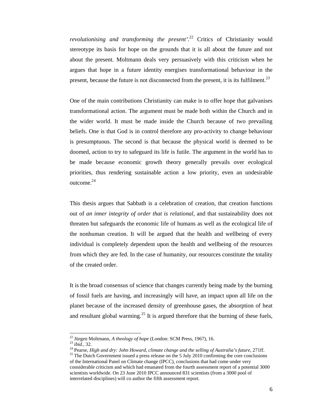*revolutionising and transforming the present'.*<sup>22</sup> Critics of Christianity would stereotype its basis for hope on the grounds that it is all about the future and not about the present. Moltmann deals very persuasively with this criticism when he argues that hope in a future identity energises transformational behaviour in the present, because the future is not disconnected from the present, it is its fulfilment.<sup>23</sup>

One of the main contributions Christianity can make is to offer hope that galvanises transformational action. The argument must be made both within the Church and in the wider world. It must be made inside the Church because of two prevailing beliefs. One is that God is in control therefore any pro-activity to change behaviour is presumptuous. The second is that because the physical world is deemed to be doomed, action to try to safeguard its life is futile. The argument in the world has to be made because economic growth theory generally prevails over ecological priorities, thus rendering sustainable action a low priority, even an undesirable outcome.<sup>24</sup>

This thesis argues that Sabbath is a celebration of creation, that creation functions out of *an inner integrity of order that is relational,* and that sustainability does not threaten but safeguards the economic life of humans as well as the ecological life of the nonhuman creation. It will be argued that the health and wellbeing of every individual is completely dependent upon the health and wellbeing of the resources from which they are fed. In the case of humanity, our resources constitute the totality of the created order.

It is the broad consensus of science that changes currently being made by the burning of fossil fuels are having, and increasingly will have, an impact upon all life on the planet because of the increased density of greenhouse gases, the absorption of heat and resultant global warming.<sup>25</sup> It is argued therefore that the burning of these fuels,

<sup>&</sup>lt;sup>22</sup> Jürgen Moltmann, A theology of hope (London: SCM Press, 1967), 16.

<sup>&</sup>lt;sup>23</sup> ibid., 32.<br><sup>24</sup> Pearse, *High and dry: John Howard, climate change and the selling of Australia's future, 271ff.*<br><sup>25</sup> The Dutch Government issued a press release on the 5 July 2010 confirming the core conclusions

of the International Panel on Climate change (IPCC), conclusions that had come under very considerable criticism and which had emanated from the fourth assessment report of a potential 3000 scientists worldwide. On 23 June 2010 IPCC announced 831 scientists (from a 3000 pool of interrelated disciplines) will co author the fifth assessment report.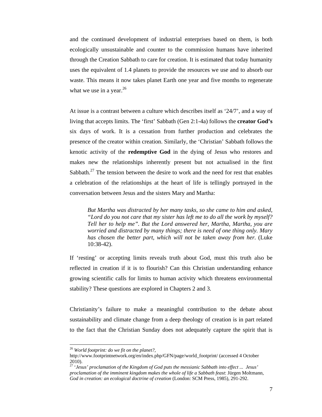and the continued development of industrial enterprises based on them, is both ecologically unsustainable and counter to the commission humans have inherited through the Creation Sabbath to care for creation. It is estimated that today humanity uses the equivalent of 1.4 planets to provide the resources we use and to absorb our waste. This means it now takes planet Earth one year and five months to regenerate what we use in a year.  $2<sup>6</sup>$ 

At issue is a contrast between a culture which describes itself as '24/7', and a way of living that accepts limits. The 'first' Sabbath (Gen 2:1-4a) follows the **creator God's**  six days of work. It is a cessation from further production and celebrates the presence of the creator within creation. Similarly, the 'Christian' Sabbath follows the kenotic activity of the **redemptive God** in the dying of Jesus who restores and makes new the relationships inherently present but not actualised in the first Sabbath.<sup>27</sup> The tension between the desire to work and the need for rest that enables a celebration of the relationships at the heart of life is tellingly portrayed in the conversation between Jesus and the sisters Mary and Martha:

*But Martha was distracted by her many tasks, so she came to him and asked, "Lord do you not care that my sister has left me to do all the work by myself? Tell her to help me". But the Lord answered her, Martha, Martha, you are worried and distracted by many things; there is need of one thing only. Mary has chosen the better part, which will not be taken away from her.* (Luke 10:38-42).

If 'resting' or accepting limits reveals truth about God, must this truth also be reflected in creation if it is to flourish? Can this Christian understanding enhance growing scientific calls for limits to human activity which threatens environmental stability? These questions are explored in Chapters 2 and 3.

Christianity's failure to make a meaningful contribution to the debate about sustainability and climate change from a deep theology of creation is in part related to the fact that the Christian Sunday does not adequately capture the spirit that is

<sup>26</sup> *World footprint: do we fit on the planet?,*

http://www.footprintnetwork.org/en/index.php/GFN/page/world\_footprint/ (accessed 4 October 2010).

<sup>27 &#</sup>x27;*Jesus' proclamation of the Kingdom of God puts the messianic Sabbath into effect ... Jesus' proclamation of the imminent kingdom makes the whole of life a Sabbath feast*: Jürgen Moltmann*, God in creation: an ecological doctrine of creation* (London: SCM Press, 1985), 291-292.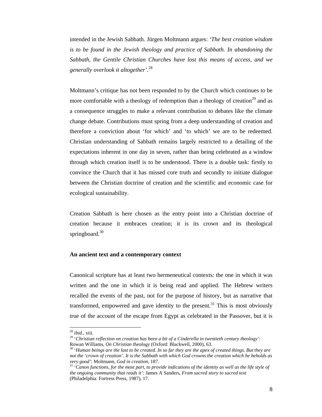intended in the Jewish Sabbath. Jürgen Moltmann argues: *'The best creation wisdom is to be found in the Jewish theology and practice of Sabbath. In abandoning the Sabbath, the Gentile Christian Churches have lost this means of access, and we generally overlook it altogether'.*<sup>28</sup>

Moltmann's critique has not been responded to by the Church which continues to be more comfortable with a theology of redemption than a theology of creation<sup>29</sup> and as a consequence struggles to make a relevant contribution to debates like the climate change debate. Contributions must spring from a deep understanding of creation and therefore a conviction about 'for which' and 'to which' we are to be redeemed. Christian understanding of Sabbath remains largely restricted to a detailing of the expectations inherent in one day in seven, rather than being celebrated as a window through which creation itself is to be understood. There is a double task: firstly to convince the Church that it has missed core truth and secondly to initiate dialogue between the Christian doctrine of creation and the scientific and economic case for ecological sustainability.

Creation Sabbath is here chosen as the entry point into a Christian doctrine of creation because it embraces creation; it is its crown and its theological springboard. $30$ 

#### **An ancient text and a contemporary context**

Canonical scripture has at least two hermeneutical contexts: the one in which it was written and the one in which it is being read and applied. The Hebrew writers recalled the events of the past, not for the purpose of history, but as narrative that transformed, empowered and gave identity to the present.<sup>31</sup> This is most obviously true of the account of the escape from Egypt as celebrated in the Passover, but it is

 $28$  *ibid.*, xiii.

<sup>&</sup>lt;sup>29</sup> *'Christian reflection on creation has been a bit of a Cinderella in twentieth century theology':*<br>Rowan Williams, *On Christian theology* (Oxford: Blackwell, 2000), 63.

<sup>&</sup>lt;sup>30</sup> 'Human beings are the last to be created. In so far they are the apex of created things. But they are *not the 'crown of creation'. It is the Sabbath with which God crowns the creation which he beholds as very good'*: Moltmann, *God in creation*, 187.<br><sup>31</sup> '*Canon functions, for the most part, to provide indications of the identity as well as the life style of* 

*the ongoing community that reads it'*: James A Sanders, *From sacred story to sacred text* (Philadelphia: Fortress Press, 1987), 17.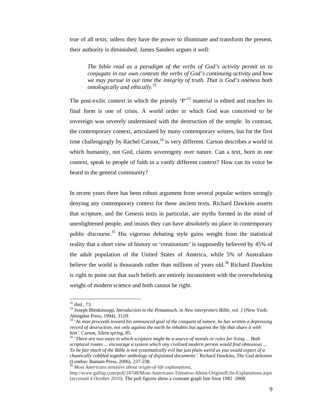true of all texts; unless they have the power to illuminate and transform the present, their authority is diminished. James Sanders argues it well:

*The bible read as a paradigm of the verbs of God's activity permit us to conjugate in our own contexts the verbs of God's continuing activity and how we may pursue in our time the integrity of truth. That is God's oneness both ontologically and ethically.*<sup>32</sup>

The post-exilic context in which the priestly  $\mathbf{P}^{33}$  material is edited and reaches its final form is one of crisis. A world order in which God was conceived to be sovereign was severely undermined with the destruction of the temple. In contrast, the contemporary context, articulated by many contemporary writers, but for the first time challengingly by Rachel Carson,  $34$  is very different. Carson describes a world in which humanity, not God, claims sovereignty over nature. Can a text, born in one context, speak to people of faith in a vastly different context? How can its voice be heard in the general community?

In recent years there has been robust argument from several popular writers strongly denying any contemporary context for these ancient texts. Richard Dawkins asserts that scripture, and the Genesis texts in particular, are myths formed in the mind of unenlightened people, and insists they can have absolutely no place in contemporary public discourse.35 His vigorous debating style gains weight from the statistical reality that a short view of history or 'creationism' is supposedly believed by 45% of the adult population of the United States of America, while 5% of Australians believe the world is thousands rather than millions of years old.<sup>36</sup> Richard Dawkins is right to point out that such beliefs are entirely inconsistent with the overwhelming weight of modern science and both cannot be right.

 $32$  ibid., 73.

<sup>&</sup>lt;sup>33</sup> Joseph Blenkinsopp, *Introduction to the Pentateuch*, in *New interpreters Bible, vol. 1* (New York: Abingdon Press, 1994), 312ff.

<sup>34 &#</sup>x27;*As man proceeds toward his announced goal of the conquest of nature, he has written a depressing record of destruction, not only against the earth he inhabits but against the life that share it with him'.* Carson, *Silent spring, 85.* 

<sup>&</sup>lt;sup>35</sup> 'There are two ways in which scripture might be a source of morals or rules for living ... Both *scriptural routes ... encourage a system which any civilised modern person would find obnoxious* ... *To be fair much of the Bible is not systematically evil but just plain weird as you would expect of a chaotically cobbled together anthology of disjointed documents'.* Richard Dawkins, *The God delusion*  (London: Bantam Press, 2006), 237-238.

<sup>36</sup> *Most Americans tentative about origin-of-life explanations*,

http://www.gallup.com/poll/18748/Most-Americans-Tentative-About-OriginofLife-Explanations.aspx (accessed 4 October 2010). The poll figures show a constant graph line from 1982 -2008.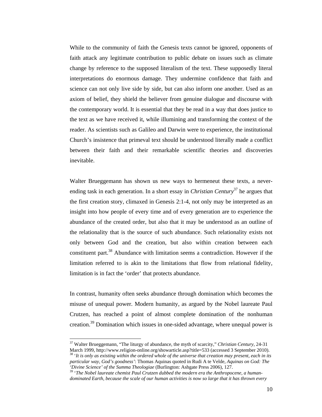While to the community of faith the Genesis texts cannot be ignored, opponents of faith attack any legitimate contribution to public debate on issues such as climate change by reference to the supposed literalism of the text. These supposedly literal interpretations do enormous damage. They undermine confidence that faith and science can not only live side by side, but can also inform one another. Used as an axiom of belief, they shield the believer from genuine dialogue and discourse with the contemporary world. It is essential that they be read in a way that does justice to the text as we have received it, while illumining and transforming the context of the reader. As scientists such as Galileo and Darwin were to experience, the institutional Church's insistence that primeval text should be understood literally made a conflict between their faith and their remarkable scientific theories and discoveries inevitable.

Walter Brueggemann has shown us new ways to hermeneut these texts, a neverending task in each generation. In a short essay in *Christian Century*<sup>37</sup> he argues that the first creation story, climaxed in Genesis 2:1-4, not only may be interpreted as an insight into how people of every time and of every generation are to experience the abundance of the created order, but also that it may be understood as an outline of the relationality that is the source of such abundance. Such relationality exists not only between God and the creation, but also within creation between each constituent part.<sup>38</sup> Abundance with limitation seems a contradiction. However if the limitation referred to is akin to the limitations that flow from relational fidelity, limitation is in fact the 'order' that protects abundance.

In contrast, humanity often seeks abundance through domination which becomes the misuse of unequal power. Modern humanity, as argued by the Nobel laureate Paul Crutzen, has reached a point of almost complete domination of the nonhuman creation.39 Domination which issues in one-sided advantage, where unequal power is

37 Walter Brueggemann, "The liturgy of abundance, the myth of scarcity," *Christian Century*, 24-31 March 1999, http://www.religion-online.org/showarticle.asp?title=533 (accessed 3 September 2010). 38 '*It is only as existing within the ordered whole of the universe that creation may present, each in its* 

*particular way, God's goodness'*: Thomas Aquinas quoted in Rudi A te Velde, *Aquinas on God: The 'Divine Science' of the Summa Theologiae* (Burlington: Ashgate Press 2006), 127.<br><sup>39</sup> '*The Nobel laureate chemist Paul Crutzen dubbed the modern era the Anthropocene, a human-*

*dominated Earth, because the scale of our human activities is now so large that it has thrown every*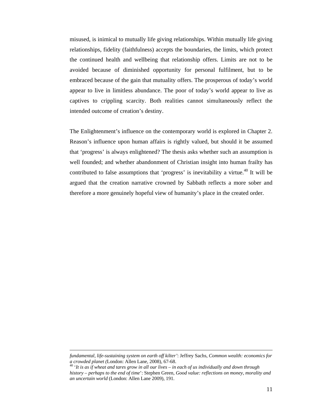misused, is inimical to mutually life giving relationships. Within mutually life giving relationships, fidelity (faithfulness) accepts the boundaries, the limits, which protect the continued health and wellbeing that relationship offers. Limits are not to be avoided because of diminished opportunity for personal fulfilment, but to be embraced because of the gain that mutuality offers. The prosperous of today's world appear to live in limitless abundance. The poor of today's world appear to live as captives to crippling scarcity. Both realities cannot simultaneously reflect the intended outcome of creation's destiny.

The Enlightenment's influence on the contemporary world is explored in Chapter 2. Reason's influence upon human affairs is rightly valued, but should it be assumed that 'progress' is always enlightened? The thesis asks whether such an assumption is well founded; and whether abandonment of Christian insight into human frailty has contributed to false assumptions that 'progress' is inevitability a virtue.<sup>40</sup> It will be argued that the creation narrative crowned by Sabbath reflects a more sober and therefore a more genuinely hopeful view of humanity's place in the created order.

*fundamental, life-sustaining system on earth off kilter'*: Jeffrey Sachs, *Common wealth: economics for a crowded planet (*London: Allen Lane, 2008), 67-68. 40 '*It is as if wheat and tares grow in all our lives – in each of us individually and down through* 

*history – perhaps to the end of time*': Stephen Green, *Good value: reflections on money, morality and an uncertain world* (London: Allen Lane 2009), 191.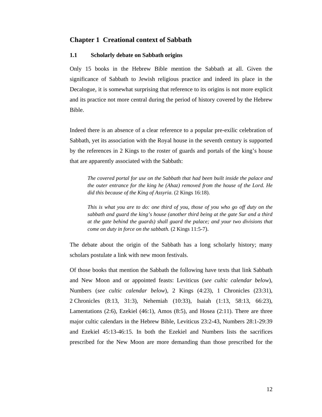#### **Chapter 1 Creational context of Sabbath**

#### **1.1 Scholarly debate on Sabbath origins**

Only 15 books in the Hebrew Bible mention the Sabbath at all. Given the significance of Sabbath to Jewish religious practice and indeed its place in the Decalogue, it is somewhat surprising that reference to its origins is not more explicit and its practice not more central during the period of history covered by the Hebrew Bible.

Indeed there is an absence of a clear reference to a popular pre-exilic celebration of Sabbath, yet its association with the Royal house in the seventh century is supported by the references in 2 Kings to the roster of guards and portals of the king's house that are apparently associated with the Sabbath:

*The covered portal for use on the Sabbath that had been built inside the palace and the outer entrance for the king he (Ahaz) removed from the house of the Lord. He did this because of the King of Assyria.* (2 Kings 16:18).

*This is what you are to do: one third of you, those of you who go off duty on the sabbath and guard the king's house (another third being at the gate Sur and a third at the gate behind the guards) shall guard the palace; and your two divisions that come on duty in force on the sabbath.* (2 Kings 11:5-7).

The debate about the origin of the Sabbath has a long scholarly history; many scholars postulate a link with new moon festivals.

Of those books that mention the Sabbath the following have texts that link Sabbath and New Moon and or appointed feasts: Leviticus (*see cultic calendar below*), Numbers (*see cultic calendar below*), 2 Kings (4:23), 1 Chronicles (23:31), 2 Chronicles (8:13, 31:3), Nehemiah (10:33), Isaiah (1:13, 58:13, 66:23), Lamentations  $(2:6)$ , Ezekiel  $(46:1)$ , Amos  $(8:5)$ , and Hosea  $(2:11)$ . There are three major cultic calendars in the Hebrew Bible, Leviticus 23:2-43, Numbers 28:1-29:39 and Ezekiel 45:13-46:15. In both the Ezekiel and Numbers lists the sacrifices prescribed for the New Moon are more demanding than those prescribed for the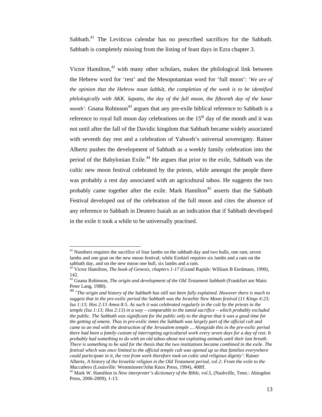Sabbath.<sup>41</sup> The Leviticus calendar has no prescribed sacrifices for the Sabbath. Sabbath is completely missing from the listing of feast days in Ezra chapter 3.

Victor Hamilton, $42$  with many other scholars, makes the philological link between the Hebrew word for 'rest' and the Mesopotamian word for 'full moon': *'We are of the opinion that the Hebrew noun šabbāt, the completion of the week is to be identified philologically with AKK. šapattu, the day of the full moon, the fifteenth day of the lunar month'*. Gnana Robinson<sup>43</sup> argues that any pre-exile biblical reference to Sabbath is a reference to royal full moon day celebrations on the  $15<sup>th</sup>$  day of the month and it was not until after the fall of the Davidic kingdom that Sabbath became widely associated with seventh day rest and a celebration of Yahweh's universal sovereignty. Rainer Albertz pushes the development of Sabbath as a weekly family celebration into the period of the Babylonian Exile.<sup>44</sup> He argues that prior to the exile, Sabbath was the cultic new moon festival celebrated by the priests, while amongst the people there was probably a rest day associated with an agricultural taboo. He suggests the two probably came together after the exile. Mark Hamilton<sup>45</sup> asserts that the Sabbath Festival developed out of the celebration of the full moon and cites the absence of any reference to Sabbath in Deutero Isaiah as an indication that if Sabbath developed in the exile it took a while to be universally practised.

<sup>&</sup>lt;sup>41</sup> Numbers requires the sacrifice of four lambs on the sabbath day and two bulls, one ram, seven lambs and one goat on the new moon festival; while Ezekiel requires six lambs and a ram on the sabbath day, and on the new moon one bull, six lambs and a ram.

<sup>42</sup> Victor Hamilton, *The book of Genesis, chapters 1-17* (Grand Rapids: William B Eerdmans, 1990), 142.

<sup>43</sup> Gnana Robinson, *The origin and development of the Old Testament Sabbath* (Frankfurt am Main: Peter Lang, 1988).

<sup>44 &#</sup>x27;*The origin and history of the Sabbath has still not been fully explained. However there is much to suggest that in the pre-exilic period the Sabbath was the Israelite New Moon festival (11 Kings 4:23; Isa 1:13; Hos 2:13 Amos 8:5. As such it was celebrated regularly in the cult by the priests in the temple (Isa 1:13; Hos 2:13) in a way – comparable to the tamid sacrifice – which probably excluded the public. The Sabbath was significant for the public only to the degree that it was a good time for the getting of omens. Thus in pre-exilic times the Sabbath was largely part of the official cult and came to an end with the destruction of the Jerusalem temple* ... *Alongside this in the pre-exilic period there had been a family custom of interrupting agricultural work every seven days for a day of rest. It probably had something to do with an old taboo about not exploiting animals until their last breath. There is something to be said for the thesis that the two institutions became combined in the exile. The festival which was once limited to the official temple cult was opened up so that families everywhere could participate in it, the rest from work therefore took on cultic and religious dignity'*: Rainer Albertz, *A history of the Israelite religion in the Old Testament period, vol 2: From the exile to the Maccabees* (Louisville: Westminster/John Knox Press, 1994), 408ff.<br><sup>45</sup> Mark W. Hamilton in *New interpreter's dictionary of the Bible, vol.5*, (Nashville, Tenn.: Abingdon

Press, 2006-2009), 1-13.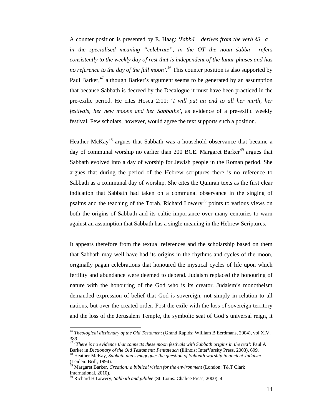A counter position is presented by E. Haag: '*šabbā derives from the verb šāa in the specialised meaning "celebrate", in the OT the noun šabbā refers consistently to the weekly day of rest that is independent of the lunar phases and has no reference to the day of the full moon'.*<sup>46</sup> This counter position is also supported by Paul Barker, $47$  although Barker's argument seems to be generated by an assumption that because Sabbath is decreed by the Decalogue it must have been practiced in the pre-exilic period. He cites Hosea 2:11: '*I will put an end to all her mirth, her festivals, her new moons and her Sabbaths',* as evidence of a pre-exilic weekly festival. Few scholars, however, would agree the text supports such a position.

Heather McKay<sup>48</sup> argues that Sabbath was a household observance that became a day of communal worship no earlier than 200 BCE. Margaret Barker<sup>49</sup> argues that Sabbath evolved into a day of worship for Jewish people in the Roman period. She argues that during the period of the Hebrew scriptures there is no reference to Sabbath as a communal day of worship. She cites the Qumran texts as the first clear indication that Sabbath had taken on a communal observance in the singing of psalms and the teaching of the Torah. Richard Lowery<sup>50</sup> points to various views on both the origins of Sabbath and its cultic importance over many centuries to warn against an assumption that Sabbath has a single meaning in the Hebrew Scriptures.

It appears therefore from the textual references and the scholarship based on them that Sabbath may well have had its origins in the rhythms and cycles of the moon, originally pagan celebrations that honoured the mystical cycles of life upon which fertility and abundance were deemed to depend. Judaism replaced the honouring of nature with the honouring of the God who is its creator. Judaism's monotheism demanded expression of belief that God is sovereign, not simply in relation to all nations, but over the created order. Post the exile with the loss of sovereign territory and the loss of the Jerusalem Temple, the symbolic seat of God's universal reign, it

<sup>46</sup> *Theological dictionary of the Old Testament* (Grand Rapids: William B Eerdmans, 2004), vol XIV, 389.

<sup>47 &#</sup>x27;*There is no evidence that connects these moon festivals with Sabbath origins in the text'*: Paul A

Barker in *Dictionary of the Old Testament: Pentateuch* (Illinois: InterVarsity Press, 2003), 699. 48 Heather McKay, *Sabbath and synagogue: the question of Sabbath worship in ancient Judaism* (Leiden: Brill, 1994).

<sup>49</sup> Margaret Barker, *Creation: a biblical vision for the environment* (London: T&T Clark International, 2010).

<sup>50</sup> Richard H Lowery, *Sabbath and jubilee* (St. Louis: Chalice Press, 2000), 4.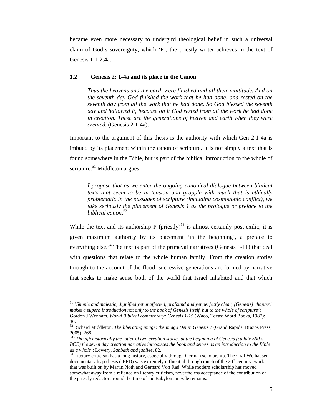became even more necessary to undergird theological belief in such a universal claim of God's sovereignty, which 'P', the priestly writer achieves in the text of Genesis 1:1-2:4a.

#### **1.2 Genesis 2: 1-4a and its place in the Canon**

*Thus the heavens and the earth were finished and all their multitude. And on the seventh day God finished the work that he had done, and rested on the seventh day from all the work that he had done. So God blessed the seventh day and hallowed it, because on it God rested from all the work he had done in creation. These are the generations of heaven and earth when they were created.* (Genesis 2:1-4a).

Important to the argument of this thesis is the authority with which Gen 2:1-4a is imbued by its placement within the canon of scripture. It is not simply a text that is found somewhere in the Bible, but is part of the biblical introduction to the whole of scripture. $51$  Middleton argues:

*I propose that as we enter the ongoing canonical dialogue between biblical texts that seem to be in tension and grapple with much that is ethically problematic in the passages of scripture (including cosmogonic conflict), we take seriously the placement of Genesis 1 as the prologue or preface to the biblical canon*. 52

While the text and its authorship P (priestly)<sup>53</sup> is almost certainly post-exilic, it is given maximum authority by its placement 'in the beginning', a preface to everything else.<sup>54</sup> The text is part of the primeval narratives (Genesis 1-11) that deal with questions that relate to the whole human family. From the creation stories through to the account of the flood, successive generations are formed by narrative that seeks to make sense both of the world that Israel inhabited and that which

<sup>51 &#</sup>x27;*Simple and majestic, dignified yet unaffected, profound and yet perfectly clear, [Genesis] chapter1 makes a superb introduction not only to the book of Genesis itself, but to the whole of scripture'*: Gordon J Wenham, *World Biblical commentary: Genesis 1-15* (Waco, Texas: Word Books, 1987): 36.

<sup>52</sup> Richard Middleton, *The liberating image: the imago Dei in Genesis 1* (Grand Rapids: Brazos Press, 2005), 268. 53 '*Though historically the latter of two creation stories at the beginning of Genesis (ca late 500's* 

*BCE) the seven day creation narrative introduces the book and serves as an introduction to the Bible as a whole'*: Lowery, *Sabbath and jubilee*, 82.<br><sup>54</sup> Literary criticism has a long history, especially through German scholarship. The Graf Welhausen

documentary hypothesis (JEPD) was extremely influential through much of the  $20<sup>th</sup>$  century, work that was built on by Martin Noth and Gerhard Von Rad. While modern scholarship has moved somewhat away from a reliance on literary criticism, nevertheless acceptance of the contribution of the priestly redactor around the time of the Babylonian exile remains.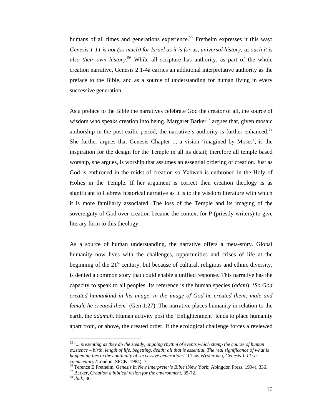humans of all times and generations experience.<sup>55</sup> Fretheim expresses it this way: *Genesis 1-11 is not (so much) for Israel as it is for us, universal history; as such it is also their own history.*<sup>56</sup> While all scripture has authority, as part of the whole creation narrative, Genesis 2:1-4a carries an additional interpretative authority as the preface to the Bible, and as a source of understanding for human living in every successive generation.

As a preface to the Bible the narratives celebrate God the creator of all, the source of wisdom who speaks creation into being. Margaret Barker<sup>57</sup> argues that, given mosaic authorship in the post-exilic period, the narrative's authority is further enhanced.<sup>58</sup> She further argues that Genesis Chapter 1, a vision 'imagined by Moses', is the inspiration for the design for the Temple in all its detail; therefore all temple based worship, she argues, is worship that assumes an essential ordering of creation. Just as God is enthroned in the midst of creation so Yahweh is enthroned in the Holy of Holies in the Temple. If her argument is correct then creation theology is as significant to Hebrew historical narrative as it is to the wisdom literature with which it is more familiarly associated. The loss of the Temple and its imaging of the sovereignty of God over creation became the context for P (priestly writers) to give literary form to this theology.

As a source of human understanding, the narrative offers a meta-story. Global humanity now lives with the challenges, opportunities and crises of life at the beginning of the  $21<sup>st</sup>$  century, but because of cultural, religious and ethnic diversity, is denied a common story that could enable a unified response. This narrative has the capacity to speak to all peoples. Its reference is the human species (*adam*): '*So God created humankind in his image, in the image of God he created them; male and female he created them'* (Gen 1:27). The narrative places humanity in relation to the earth, the *adamah*. Human activity post the 'Enlightenment' tends to place humanity apart from, or above, the created order. If the ecological challenge forces a reviewed

<sup>55 &#</sup>x27;*... presenting as they do the steady, ongoing rhythm of events which stamp the course of human existence – birth, length of life, begetting, death; all that is essential. The real significance of what is happening lies in the continuity of successive generations'*: Claus Westerman, *Genesis 1-11: a* 

*commentary* (London: SPCK, 1984), 7.<br><sup>56</sup> Terence E Fretheim, *Genesis* in *New interpreter's Bible* (New York: Abingdon Press, 1994), 336.<br><sup>57</sup> Barker, *Creation a biblical vision for the environment*, 35-72.<br><sup>58</sup> *ibid*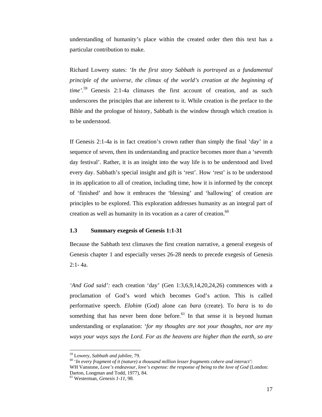understanding of humanity's place within the created order then this text has a particular contribution to make.

Richard Lowery states: *'In the first story Sabbath is portrayed as a fundamental principle of the universe, the climax of the world's creation at the beginning of time'.*59 Genesis 2:1-4a climaxes the first account of creation, and as such underscores the principles that are inherent to it. While creation is the preface to the Bible and the prologue of history, Sabbath is the window through which creation is to be understood.

If Genesis 2:1-4a is in fact creation's crown rather than simply the final 'day' in a sequence of seven, then its understanding and practice becomes more than a 'seventh day festival'. Rather, it is an insight into the way life is to be understood and lived every day. Sabbath's special insight and gift is 'rest'. How 'rest' is to be understood in its application to all of creation, including time, how it is informed by the concept of 'finished' and how it embraces the 'blessing' and 'hallowing' of creation are principles to be explored. This exploration addresses humanity as an integral part of creation as well as humanity in its vocation as a carer of creation.<sup>60</sup>

#### **1.3 Summary exegesis of Genesis 1:1-31**

Because the Sabbath text climaxes the first creation narrative, a general exegesis of Genesis chapter 1 and especially verses 26-28 needs to precede exegesis of Genesis  $2.1 - 4a$ 

*'And God said':* each creation 'day' (Gen 1:3,6,9,14,20,24,26) commences with a proclamation of God's word which becomes God's action. This is called performative speech. *Elohim* (God) alone can *bara* (create). To *bara* is to do something that has never been done before.<sup>61</sup> In that sense it is beyond human understanding or explanation: '*for my thoughts are not your thoughts, nor are my ways your ways says the Lord. For as the heavens are higher than the earth, so are* 

<sup>&</sup>lt;sup>59</sup> Lowery, *Sabbath and jubilee, 79.*<br><sup>60</sup> 'In every fragment of it (nature) a thousand million lesser fragments cohere and interact': WH Vanstone, *Love's endeavour, love's expense: the response of being to the love of God* (London: Darton, Longman and Todd, 1977), 84.

<sup>61</sup> Westerman, *Genesis 1-11*, 98.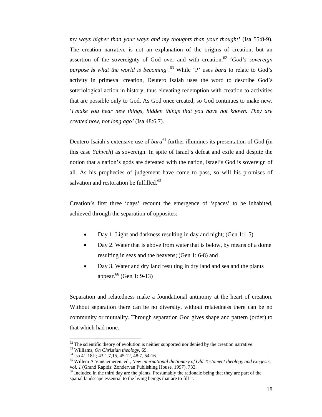*my ways higher than your ways and my thoughts than your thought'* (Isa 55:8-9). The creation narrative is not an explanation of the origins of creation, but an assertion of the sovereignty of God over and with creation:<sup>62</sup> '*God's sovereign purpose is what the world is becoming'.*63 While 'P' uses *bara* to relate to God's activity in primeval creation, Deutero Isaiah uses the word to describe God's soteriological action in history, thus elevating redemption with creation to activities that are possible only to God. As God once created, so God continues to make new. '*I make you hear new things, hidden things that you have not known. They are created now, not long ago'* (Isa 48:6,7).

Deutero-Isaiah's extensive use of *bara*<sup>64</sup> further illumines its presentation of God (in this case *Yahweh*) as sovereign. In spite of Israel's defeat and exile and despite the notion that a nation's gods are defeated with the nation, Israel's God is sovereign of all. As his prophecies of judgement have come to pass, so will his promises of salvation and restoration be fulfilled.<sup>65</sup>

Creation's first three 'days' recount the emergence of 'spaces' to be inhabited, achieved through the separation of opposites:

- Day 1. Light and darkness resulting in day and night; (Gen 1:1-5)
- Day 2. Water that is above from water that is below, by means of a dome resulting in seas and the heavens; (Gen 1: 6-8) and
- Day 3. Water and dry land resulting in dry land and sea and the plants appear.<sup>66</sup> (Gen 1: 9-13)

Separation and relatedness make a foundational antinomy at the heart of creation. Without separation there can be no diversity, without relatedness there can be no community or mutuality. Through separation God gives shape and pattern (order) to that which had none.

 $^{62}$  The scientific theory of evolution is neither supported nor denied by the creation narrative.<br><sup>63</sup> Williams, *On Christian theology*, 69.

<sup>63</sup> Williams, *On Christian theology,* 69. 64 Isa 41:18ff; 43:1,7,15, 45:12, 48:7, 54:16.

<sup>65</sup> Willem A VanGemeren, ed., *New international dictionary of Old Testament theology and exegesis,*

<sup>&</sup>lt;sup>66</sup> Included in the third day are the plants. Presumably the rationale being that they are part of the spatial landscape essential to the living beings that are to fill it.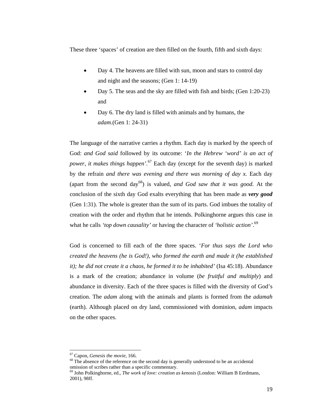These three 'spaces' of creation are then filled on the fourth, fifth and sixth days:

- Day 4. The heavens are filled with sun, moon and stars to control day and night and the seasons; (Gen 1: 14-19)
- Day 5. The seas and the sky are filled with fish and birds; (Gen 1:20-23) and
- Day 6. The dry land is filled with animals and by humans, the *adam*.(Gen 1: 24-31)

The language of the narrative carries a rhythm. Each day is marked by the speech of God: *and God said* followed by its outcome: '*In the Hebrew 'word' is an act of power, it makes things happen'.*67 Each day (except for the seventh day) is marked by the refrain *and there was evening and there was morning of day x.* Each day (apart from the second day<sup>68</sup>) is valued, *and God saw that it was good*. At the conclusion of the sixth day God exalts everything that has been made as *very good*  (Gen 1:31). The whole is greater than the sum of its parts. God imbues the totality of creation with the order and rhythm that he intends. Polkinghorne argues this case in what he calls *'top down causality'* or having the character of *'holistic action'*. 69

God is concerned to fill each of the three spaces. '*For thus says the Lord who created the heavens (he is God!), who formed the earth and made it (he established it); he did not create it a chaos, he formed it to be inhabited'* (Isa 45:18). Abundance is a mark of the creation; abundance in volume (*be fruitful and multiply*) and abundance in diversity. Each of the three spaces is filled with the diversity of God's creation. The *adam* along with the animals and plants is formed from the *adamah*  (earth). Although placed on dry land, commissioned with dominion, *adam* impacts on the other spaces.

<sup>&</sup>lt;sup>67</sup> Capon, *Genesis the movie*, 166. **68** The absence of the reference on the second day is generally understood to be an accidental  $\frac{1}{2}$ omission of scribes rather than a specific commentary.

<sup>69</sup> John Polkinghorne, ed., *The work of love: creation as kenosis* (London: William B Eerdmans, 2001), 98ff.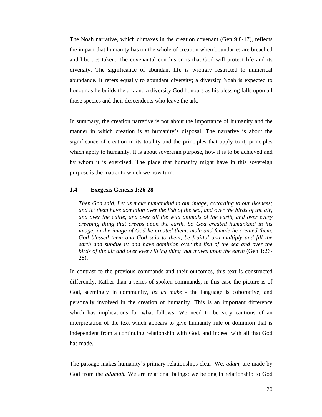The Noah narrative, which climaxes in the creation covenant (Gen 9:8-17), reflects the impact that humanity has on the whole of creation when boundaries are breached and liberties taken. The covenantal conclusion is that God will protect life and its diversity. The significance of abundant life is wrongly restricted to numerical abundance. It refers equally to abundant diversity; a diversity Noah is expected to honour as he builds the ark and a diversity God honours as his blessing falls upon all those species and their descendents who leave the ark.

In summary, the creation narrative is not about the importance of humanity and the manner in which creation is at humanity's disposal. The narrative is about the significance of creation in its totality and the principles that apply to it; principles which apply to humanity. It is about sovereign purpose, how it is to be achieved and by whom it is exercised. The place that humanity might have in this sovereign purpose is the matter to which we now turn.

#### **1.4 Exegesis Genesis 1:26-28**

*Then God said, Let us make humankind in our image, according to our likeness; and let them have dominion over the fish of the sea, and over the birds of the air, and over the cattle, and over all the wild animals of the earth, and over every creeping thing that creeps upon the earth. So God created humankind in his image, in the image of God he created them; male and female he created them. God blessed them and God said to them, be fruitful and multiply and fill the earth and subdue it; and have dominion over the fish of the sea and over the birds of the air and over every living thing that moves upon the earth* (Gen 1:26- 28).

In contrast to the previous commands and their outcomes, this text is constructed differently. Rather than a series of spoken commands, in this case the picture is of God, seemingly in community, *let us make* - the language is cohortative, and personally involved in the creation of humanity. This is an important difference which has implications for what follows. We need to be very cautious of an interpretation of the text which appears to give humanity rule or dominion that is independent from a continuing relationship with God, and indeed with all that God has made.

The passage makes humanity's primary relationships clear. We, *adam,* are made by God from the *adamah.* We are relational beings; we belong in relationship to God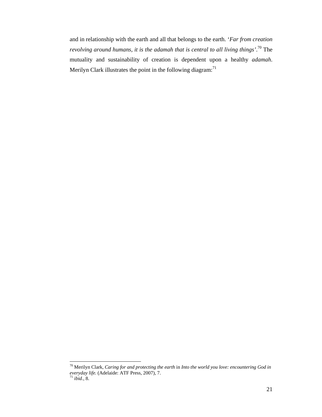and in relationship with the earth and all that belongs to the earth. '*Far from creation revolving around humans, it is the adamah that is central to all living things'*. 70 The mutuality and sustainability of creation is dependent upon a healthy *adamah*. Merilyn Clark illustrates the point in the following diagram: $71$ 

<sup>70</sup> Merilyn Clark, *Caring for and protecting the earth* in *Into the world you love: encountering God in everyday life.* (Adelaide: ATF Press, 2007), 7. 71 *ibid.,* 8.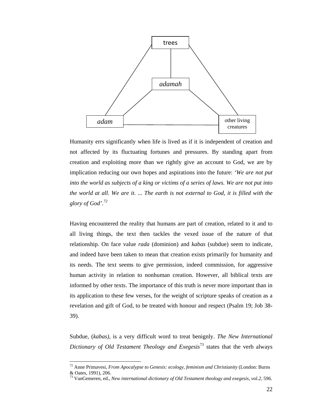

Humanity errs significantly when life is lived as if it is independent of creation and not affected by its fluctuating fortunes and pressures. By standing apart from creation and exploiting more than we rightly give an account to God, we are by implication reducing our own hopes and aspirations into the future: *'We are not put into the world as subjects of a king or victims of a series of laws. We are not put into the world at all. We are it. ... The earth is not external to God, it is filled with the glory of God'.72*

Having encountered the reality that humans are part of creation, related to it and to all living things, the text then tackles the vexed issue of the nature of that relationship. On face value *rada* (dominion) and *kabas* (subdue) seem to indicate, and indeed have been taken to mean that creation exists primarily for humanity and its needs. The text seems to give permission, indeed commission, for aggressive human activity in relation to nonhuman creation. However, all biblical texts are informed by other texts. The importance of this truth is never more important than in its application to these few verses, for the weight of scripture speaks of creation as a revelation and gift of God, to be treated with honour and respect (Psalm 19; Job 38- 39).

Subdue, (*kabas),* is a very difficult word to treat benignly. *The New International Dictionary of Old Testament Theology and Exegesis*73 states that the verb always

<sup>72</sup> Anne Primavesi, *From Apocalypse to Genesis: ecology, feminism and Christianity* (London: Burns & Oates, 1991), 206.

<sup>73</sup> VanGemeren, ed., *New international dictionary of Old Testament theology and exegesis, vol.2,* 596.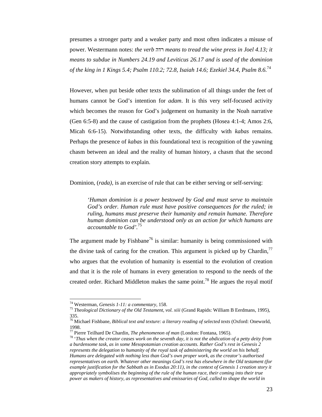presumes a stronger party and a weaker party and most often indicates a misuse of power. Westermann notes: *the verb* רדה *means to tread the wine press in Joel 4.13; it means to subdue in Numbers 24.19 and Leviticus 26.17 and is used of the dominion of the king in 1 Kings 5.4; Psalm 110.2; 72.8, Isaiah 14.6; Ezekiel 34.4, Psalm 8.6.*<sup>74</sup>

However, when put beside other texts the sublimation of all things under the feet of humans cannot be God's intention for *adam*. It is this very self-focused activity which becomes the reason for God's judgement on humanity in the Noah narrative (Gen 6:5-8) and the cause of castigation from the prophets (Hosea 4:1-4; Amos 2:6, Micah 6:6-15). Notwithstanding other texts, the difficulty with *kabas* remains. Perhaps the presence of *kabas* in this foundational text is recognition of the yawning chasm between an ideal and the reality of human history, a chasm that the second creation story attempts to explain.

Dominion, *(rada)*, is an exercise of rule that can be either serving or self-serving:

*'Human dominion is a power bestowed by God and must serve to maintain God's order. Human rule must have positive consequences for the ruled; in ruling, humans must preserve their humanity and remain humane. Therefore human dominion can be understood only as an action for which humans are accountable to God'.*<sup>75</sup>

The argument made by Fishbane<sup>76</sup> is similar: humanity is being commissioned with the divine task of caring for the creation. This argument is picked up by Chardin, $<sup>77</sup>$ </sup> who argues that the evolution of humanity is essential to the evolution of creation and that it is the role of humans in every generation to respond to the needs of the created order. Richard Middleton makes the same point.<sup>78</sup> He argues the royal motif

<sup>&</sup>lt;sup>74</sup> Westerman, *Genesis 1-11: a commentary*, 158.<br><sup>75</sup> *Theological Dictionary of the Old Testament, vol. xiii* (Grand Rapids: William B Eerdmans, 1995), 335.

<sup>76</sup> Michael Fishbane, *Biblical text and texture: a literary reading of selected texts* (Oxford: Oneworld, 1998.<br><sup>77</sup> Pierre Teilhard De Chardin, *The phenomenon of man* (London: Fontana, 1965).

<sup>&</sup>lt;sup>78</sup> 'Thus when the creator ceases work on the seventh day, it is not the abdication of a petty deity from *a burdensome task, as in some Mesopotamian creation accounts. Rather God's rest in Genesis 2 represents the delegation to humanity of the royal task of administering the world on his behalf. Humans are delegated with nothing less than God's own proper work, as the creator's authorised representatives on earth. Whatever other meanings God's rest has elsewhere in the Old testament (for example justification for the Sabbath as in Exodus 20:11), in the context of Genesis 1 creation story it appropriately symbolises the beginning of the rule of the human race, their coming into their true power as makers of history, as representatives and emissaries of God, called to shape the world in*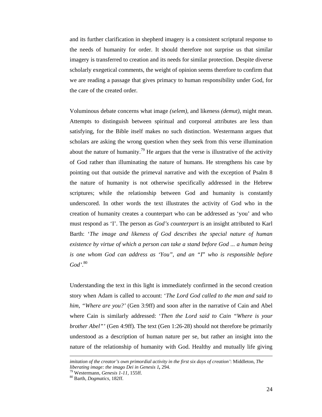and its further clarification in shepherd imagery is a consistent scriptural response to the needs of humanity for order. It should therefore not surprise us that similar imagery is transferred to creation and its needs for similar protection. Despite diverse scholarly exegetical comments, the weight of opinion seems therefore to confirm that we are reading a passage that gives primacy to human responsibility under God, for the care of the created order.

Voluminous debate concerns what image *(selem),* and likeness *(demut),* might mean. Attempts to distinguish between spiritual and corporeal attributes are less than satisfying, for the Bible itself makes no such distinction. Westermann argues that scholars are asking the wrong question when they seek from this verse illumination about the nature of humanity.<sup>79</sup> He argues that the verse is illustrative of the activity of God rather than illuminating the nature of humans. He strengthens his case by pointing out that outside the primeval narrative and with the exception of Psalm 8 the nature of humanity is not otherwise specifically addressed in the Hebrew scriptures; while the relationship between God and humanity is constantly underscored. In other words the text illustrates the activity of God who in the creation of humanity creates a counterpart who can be addressed as 'you' and who must respond as 'I'. The person as *God's counterpart* is an insight attributed to Karl Barth: '*The image and likeness of God describes the special nature of human existence by virtue of which a person can take a stand before God ... a human being is one whom God can address as 'You", and an "I*" *who is responsible before God'*. 80

Understanding the text in this light is immediately confirmed in the second creation story when Adam is called to account: '*The Lord God called to the man and said to him, "Where are you?'* (Gen 3:9ff) and soon after in the narrative of Cain and Abel where Cain is similarly addressed: '*Then the Lord said to Cain "Where is your brother Abel"'* (Gen 4:9ff). The text (Gen 1:26-28) should not therefore be primarily understood as a description of human nature per se, but rather an insight into the nature of the relationship of humanity with God. Healthy and mutually life giving

*imitation of the creator's own primordial activity in the first six days of creation'*: Middleton, *The liberating image: the imago Dei in Genesis 1, 294.* <sup>79</sup> Westermann, *Genesis 1-11, 155ff.* 80 Barth, *Dogmatics*, 182ff.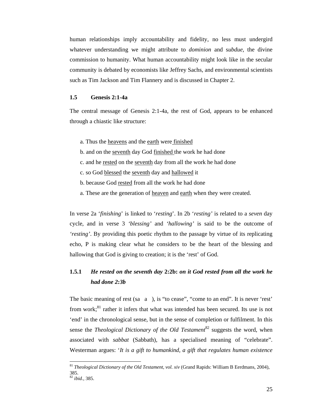human relationships imply accountability and fidelity, no less must undergird whatever understanding we might attribute to *dominion* and s*ubdue,* the divine commission to humanity. What human accountability might look like in the secular community is debated by economists like Jeffrey Sachs, and environmental scientists such as Tim Jackson and Tim Flannery and is discussed in Chapter 2.

#### **1.5 Genesis 2:1-4a**

The central message of Genesis 2:1-4a, the rest of God, appears to be enhanced through a chiastic like structure:

- a. Thus the heavens and the earth were finished
- b. and on the seventh day God finished the work he had done
- c. and he rested on the seventh day from all the work he had done
- c. so God blessed the seventh day and hallowed it
- b. because God rested from all the work he had done
- a. These are the generation of heaven and earth when they were created.

In verse 2a '*finishing*' is linked to '*resting*'. In 2b '*resting'* is related to a *seven* day cycle, and in verse 3 *'blessing'* and *'hallowing'* is said to be the outcome of *'resting'*. By providing this poetic rhythm to the passage by virtue of its replicating echo, P is making clear what he considers to be the heart of the blessing and hallowing that God is giving to creation; it is the 'rest' of God.

## **1.5.1** *He rested on the seventh day* **2:2b:** *on it God rested from all the work he had done 2:3b*

The basic meaning of rest (sa  $\alpha$ ), is "to cease", "come to an end". It is never 'rest' from work; $^{81}$  rather it infers that what was intended has been secured. Its use is not 'end' in the chronological sense, but in the sense of completion or fulfilment. In this sense the *Theological Dictionary of the Old Testament*<sup>82</sup> suggests the word, when associated with *sabbat* (Sabbath), has a specialised meaning of "celebrate". Westerman argues: '*It is a gift to humankind, a gift that regulates human existence* 

<sup>81</sup> *Theological Dictionary of the Old Testament, vol. xiv* (Grand Rapids: William B Eerdmans, 2004), 385.

<sup>82</sup> *ibid.,* 385.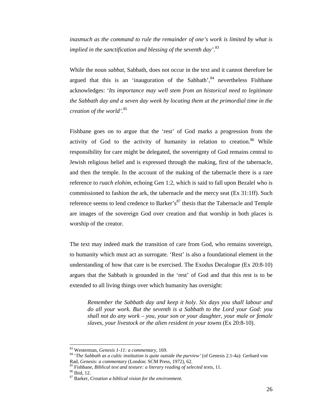*inasmuch as the command to rule the remainder of one's work is limited by what is implied in the sanctification and blessing of the seventh day'.*<sup>83</sup>

While the noun *sabbat*, Sabbath, does not occur in the text and it cannot therefore be argued that this is an 'inauguration of the Sabbath',  $84$  nevertheless Fishbane acknowledges: '*Its importance may well stem from an historical need to legitimate the Sabbath day and a seven day week by locating them at the primordial time in the creation of the world'.*<sup>85</sup>

Fishbane goes on to argue that the 'rest' of God marks a progression from the activity of God to the activity of humanity in relation to creation.<sup>86</sup> While responsibility for care might be delegated, the sovereignty of God remains central to Jewish religious belief and is expressed through the making, first of the tabernacle, and then the temple. In the account of the making of the tabernacle there is a rare reference to *ruach elohim,* echoing Gen 1:2, which is said to fall upon Bezalel who is commissioned to fashion the ark, the tabernacle and the mercy seat (Ex 31:1ff). Such reference seems to lend credence to Barker's $87$  thesis that the Tabernacle and Temple are images of the sovereign God over creation and that worship in both places is worship of the creator.

The text may indeed mark the transition of care from God, who remains sovereign, to humanity which must act as surrogate. 'Rest' is also a foundational element in the understanding of how that care is be exercised. The Exodus Decalogue (Ex 20:8-10) argues that the Sabbath is grounded in the 'rest' of God and that this rest is to be extended to all living things over which humanity has oversight:

*Remember the Sabbath day and keep it holy. Six days you shall labour and do all your work. But the seventh is a Sabbath to the Lord your God: you shall not do any work – you, your son or your daughter, your male or female slaves, your livestock or the alien resident in your towns* (Ex 20:8-10).

<sup>&</sup>lt;sup>83</sup> Westerman, *Genesis 1-11: a commentary*, 169.<br><sup>84</sup> '*The Sabbath as a cultic institution is quite outside the purview'* (of Genesis 2.1-4a): Gerhard von Rad, *Genesis: a commentary* (London: SCM Press, 1972), 62.<br><sup>85</sup> Fishbane, *Biblical text and texture: a literary reading of selected texts*, 11.<br><sup>86</sup> Ibid. 12.

<sup>87</sup> Barker, *Creation a biblical vision for the environment.*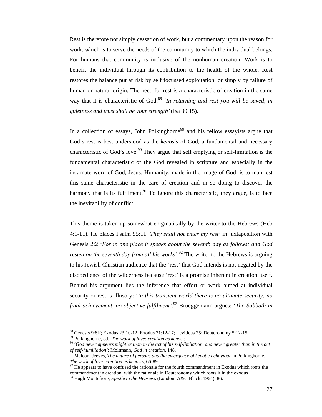Rest is therefore not simply cessation of work, but a commentary upon the reason for work, which is to serve the needs of the community to which the individual belongs. For humans that community is inclusive of the nonhuman creation. Work is to benefit the individual through its contribution to the health of the whole. Rest restores the balance put at risk by self focussed exploitation, or simply by failure of human or natural origin. The need for rest is a characteristic of creation in the same way that it is characteristic of God.<sup>88</sup> '*In returning and rest you will be saved, in quietness and trust shall be your strength'*(Isa 30:15).

In a collection of essays, John Polkinghorne<sup>89</sup> and his fellow essayists argue that God's rest is best understood as the *kenosis* of God, a fundamental and necessary characteristic of God's love.<sup>90</sup> They argue that self emptying or self-limitation is the fundamental characteristic of the God revealed in scripture and especially in the incarnate word of God, Jesus. Humanity, made in the image of God, is to manifest this same characteristic in the care of creation and in so doing to discover the harmony that is its fulfilment.<sup>91</sup> To ignore this characteristic, they argue, is to face the inevitability of conflict.

This theme is taken up somewhat enigmatically by the writer to the Hebrews (Heb 4:1-11). He places Psalm 95:11 '*They shall not enter my rest'* in juxtaposition with Genesis 2:2 '*For in one place it speaks about the seventh day as follows: and God rested on the seventh day from all his works'*. 92 The writer to the Hebrews is arguing to his Jewish Christian audience that the 'rest' that God intends is not negated by the disobedience of the wilderness because 'rest' is a promise inherent in creation itself. Behind his argument lies the inference that effort or work aimed at individual security or rest is illusory: '*In this transient world there is no ultimate security, no final achievement, no objective fulfilment'.*93 Brueggemann argues: '*The Sabbath in* 

<sup>88</sup> Genesis 9:8ff; Exodus 23:10-12; Exodus 31:12-17; Leviticus 25; Deuteronomy 5:12-15.

<sup>&</sup>lt;sup>89</sup> Polkinghorne, ed., *The work of love: creation as kenosis.*<br><sup>90</sup> 'God never appears mightier than in the act of his self-limitation, and never greater than in the act *of self-humiliation'*: Moltmann, *God in creation*, 148.<br><sup>91</sup> Malcom Jeeves, *The nature of persons and the emergence of kenotic behaviour* in Polkinghorne,

*The work of love: creation as kenosis*, 66-89.<br><sup>92</sup> He appears to have confused the rationale for the fourth commandment in Exodus which roots the commandment in creation, with the rationale in Deuteronomy which roots it in the exodus

<sup>93</sup> Hugh Montefiore, *Epistle to the Hebrews* (London: A&C Black, 1964), 86.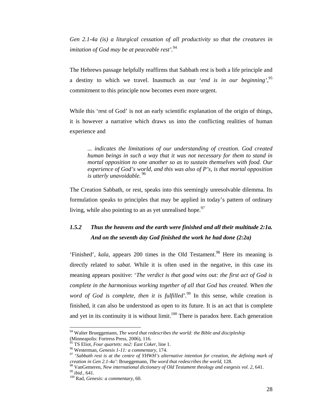*Gen 2.1-4a (is) a liturgical cessation of all productivity so that the creatures in imitation of God may be at peaceable rest'.*<sup>94</sup>

The Hebrews passage helpfully reaffirms that Sabbath rest is both a life principle and a destiny to which we travel. Inasmuch as our '*end is in our beginning',*<sup>95</sup> commitment to this principle now becomes even more urgent.

While this 'rest of God' is not an early scientific explanation of the origin of things, it is however a narrative which draws us into the conflicting realities of human experience and

*... indicates the limitations of our understanding of creation*. *God created human beings in such a way that it was not necessary for them to stand in mortal opposition to one another so as to sustain themselves with food. Our experience of God's world, and this was also of P's, is that mortal opposition is utterly unavoidable.* <sup>96</sup>

The Creation Sabbath, or rest, speaks into this seemingly unresolvable dilemma. Its formulation speaks to principles that may be applied in today's pattern of ordinary living, while also pointing to an as yet unrealised hope.  $97$ 

# *1.5.2 Thus the heavens and the earth were finished and all their multitude 2:1a. And on the seventh day God finished the work he had done (2:2a)*

'Finished', *kala*, appears 200 times in the Old Testament.<sup>98</sup> Here its meaning is directly related to *sabat*. While it is often used in the negative, in this case its meaning appears positive: '*The verdict is that good wins out: the first act of God is complete in the harmonious working together of all that God has created. When the word of God is complete, then it is fulfilled'.*<sup>99</sup> In this sense, while creation is finished, it can also be understood as open to its future. It is an act that is complete and yet in its continuity it is without limit.<sup>100</sup> There is paradox here. Each generation

<sup>94</sup> Walter Brueggemann, *The word that redescribes the world: the Bible and discipleship* (Minneapolis: Fortress Press, 2006), 116.<br><sup>95</sup> TS Eliot, *Four quartets: no2: East Coker*, line 1.

<sup>&</sup>lt;sup>96</sup> Westerman, *Genesis 1-11: a commentary*, 174.<br><sup>97</sup> 'Sabbath rest is at the centre of YHWH's alternative intention for creation, the defining mark of creation in Gen 2.1-4a': Brueggemann, The word that redescribes the

<sup>&</sup>lt;sup>98</sup> VanGemeren, *New international dictionary of Old Testament theology and exegesis vol.* 2, 641.<br><sup>99</sup> ibid., 641.<br><sup>100</sup> Rad. *Genesis: a commentary*, 60.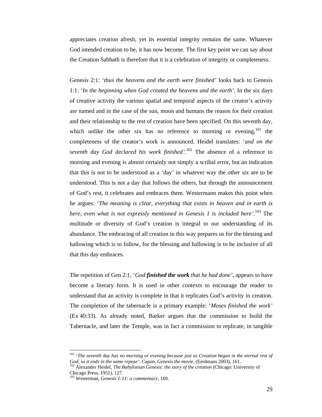appreciates creation afresh, yet its essential integrity remains the same. Whatever God intended creation to be, it has now become. The first key point we can say about the Creation Sabbath is therefore that it is a celebration of integrity or completeness.

Genesis 2:1: '*thus the heavens and the earth were finished'* looks back to Genesis 1:1: '*In the beginning when God created the heavens and the earth'.* In the six days of creative activity the various spatial and temporal aspects of the creator's activity are named and in the case of the sun, moon and humans the reason for their creation and their relationship to the rest of creation have been specified. On this seventh day, which unlike the other six has no reference to morning or evening,  $101$  the completeness of the creator's work is announced. Heidel translates: '*and on the seventh day God declared his work finished'.*<sup>102</sup> The absence of a reference to morning and evening is almost certainly not simply a scribal error, but an indication that this is not to be understood as a 'day' in whatever way the other six are to be understood. This is not a day that follows the others, but through the announcement of God's rest, it celebrates and embraces them. Westermann makes this point when he argues: '*The meaning is clear, everything that exists in heaven and in earth is here, even what is not expressly mentioned in Genesis 1 is included here'.*103 The multitude or diversity of God's creation is integral to our understanding of its abundance. The embracing of all creation in this way prepares us for the blessing and hallowing which is to follow, for the blessing and hallowing is to be inclusive of all that this day embraces.

The repetition of Gen 2:1, '*God finished the work that he had done'*, appears to have become a literary form. It is used in other contexts to encourage the reader to understand that an activity is complete in that it replicates God's activity in creation. The completion of the tabernacle is a primary example: '*Moses finished the work'* (Ex 40:33). As already noted, Barker argues that the commission to build the Tabernacle, and later the Temple, was in fact a commission to replicate, in tangible

<sup>101 &#</sup>x27;*The seventh day has no morning or evening because just as Creation began in the eternal rest of God, so it ends in the same repose':* Capon, *Genesis the movie*, (Eerdmans 2003), 161.<br><sup>102</sup> Alexander Heidel, *The Babylonian Genesis: the story of the creation* (Chicago: University of

Chicago Press, 1951), 127.

<sup>103</sup> Westerman, *Genesis 1-11: a commentary,* 169.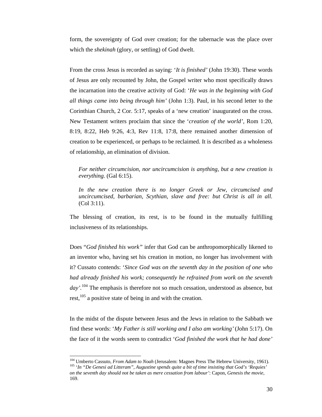form, the sovereignty of God over creation; for the tabernacle was the place over which the *shekinah* (glory, or settling) of God dwelt.

From the cross Jesus is recorded as saying: '*It is finished'* (John 19:30). These words of Jesus are only recounted by John, the Gospel writer who most specifically draws the incarnation into the creative activity of God: '*He was in the beginning with God all things came into being through him'* (John 1:3). Paul, in his second letter to the Corinthian Church, 2 Cor. 5:17, speaks of a 'new creation' inaugurated on the cross. New Testament writers proclaim that since the '*creation of the world',* Rom 1:20, 8:19, 8:22, Heb 9:26, 4:3, Rev 11:8, 17:8, there remained another dimension of creation to be experienced, or perhaps to be reclaimed. It is described as a wholeness of relationship, an elimination of division.

*For neither circumcision, nor uncircumcision is anything, but a new creation is everything.* (Gal 6:15).

*In the new creation there is no longer Greek or Jew, circumcised and uncircumcised, barbarian, Scythian, slave and free: but Christ is all in all.*  (Col 3:11).

The blessing of creation, its rest, is to be found in the mutually fulfilling inclusiveness of its relationships.

Does "*God finished his work"* infer that God can be anthropomorphically likened to an inventor who, having set his creation in motion, no longer has involvement with it? Cussato contends: '*Since God was on the seventh day in the position of one who had already finished his work; consequently he refrained from work on the seventh day'.*<sup>104</sup> The emphasis is therefore not so much cessation, understood as absence, but rest,<sup>105</sup> a positive state of being in and with the creation.

In the midst of the dispute between Jesus and the Jews in relation to the Sabbath we find these words: '*My Father is still working and I also am working'* (John 5:17). On the face of it the words seem to contradict '*God finished the work that he had done'*

<sup>&</sup>lt;sup>104</sup> Umberto Cassuto, From Adam to Noah (Jerusalem: Magnes Press The Hebrew University, 1961). <sup>105</sup> 'In "De Genesi ad Litteram", Augustine spends quite a bit of time insisting that God's 'Requies' *on the seventh day should not be taken as mere cessation from labour'*: Capon, *Genesis the movie*, 169.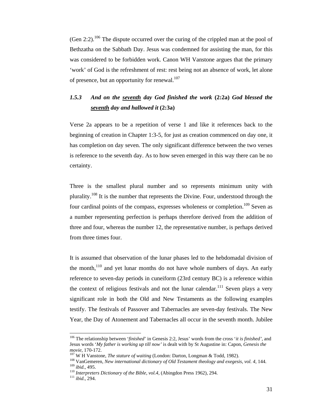$(Gen 2:2)$ <sup>106</sup>. The dispute occurred over the curing of the crippled man at the pool of Bethzatha on the Sabbath Day. Jesus was condemned for assisting the man, for this was considered to be forbidden work. Canon WH Vanstone argues that the primary 'work' of God is the refreshment of rest: rest being not an absence of work, let alone of presence, but an opportunity for renewal. $107$ 

# *1.5.3 And on the seventh day God finished the work* **(2:2a)** *God blessed the seventh day and hallowed it* **(2:3a)**

Verse 2a appears to be a repetition of verse 1 and like it references back to the beginning of creation in Chapter 1:3-5, for just as creation commenced on day one, it has completion on day seven. The only significant difference between the two verses is reference to the seventh day. As to how seven emerged in this way there can be no certainty.

Three is the smallest plural number and so represents minimum unity with plurality.<sup>108</sup> It is the number that represents the Divine. Four, understood through the four cardinal points of the compass, expresses wholeness or completion.<sup>109</sup> Seven as a number representing perfection is perhaps therefore derived from the addition of three and four, whereas the number 12, the representative number, is perhaps derived from three times four.

It is assumed that observation of the lunar phases led to the hebdomadal division of the month,<sup>110</sup> and yet lunar months do not have whole numbers of days. An early reference to seven-day periods in cuneiform (23rd century BC) is a reference within the context of religious festivals and not the lunar calendar.<sup>111</sup> Seven plays a very significant role in both the Old and New Testaments as the following examples testify. The festivals of Passover and Tabernacles are seven-day festivals. The New Year, the Day of Atonement and Tabernacles all occur in the seventh month. Jubilee

<sup>106</sup> The relationship between '*finished*' in Genesis 2:2, Jesus' words from the cross '*it is finished',* and Jesus words '*My father is working up till now'* is dealt with by St Augustine in: Capon, *Genesis the* 

movie, 170-172.<br><sup>107</sup> W H Vanstone, *The stature of waiting* (London: Darton, Longman & Todd, 1982).<br><sup>108</sup> VanGemeren, *New international dictionary of Old Testament theology and exegesis, vol. 4, 144.*<br><sup>109</sup> *ibid.*, 495.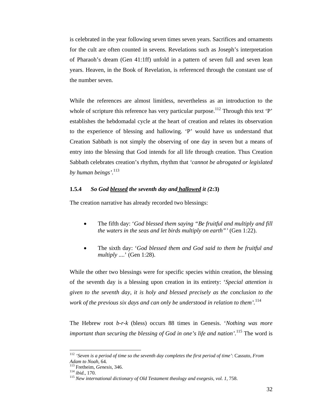is celebrated in the year following seven times seven years. Sacrifices and ornaments for the cult are often counted in sevens. Revelations such as Joseph's interpretation of Pharaoh's dream (Gen 41:1ff) unfold in a pattern of seven full and seven lean years. Heaven, in the Book of Revelation, is referenced through the constant use of the number seven.

While the references are almost limitless, nevertheless as an introduction to the whole of scripture this reference has very particular purpose.<sup>112</sup> Through this text 'P' establishes the hebdomadal cycle at the heart of creation and relates its observation to the experience of blessing and hallowing. 'P' would have us understand that Creation Sabbath is not simply the observing of one day in seven but a means of entry into the blessing that God intends for all life through creation. Thus Creation Sabbath celebrates creation's rhythm, rhythm that *'cannot be abrogated or legislated by human beings'.*<sup>113</sup>

#### **1.5.4** *So God blessed the seventh day and hallowed it (***2:3)**

The creation narrative has already recorded two blessings:

- The fifth day: '*God blessed them saying "Be fruitful and multiply and fill the waters in the seas and let birds multiply on earth"'* (Gen 1:22).
- The sixth day: '*God blessed them and God said to them be fruitful and multiply* ....' (Gen 1:28).

While the other two blessings were for specific species within creation, the blessing of the seventh day is a blessing upon creation in its entirety: '*Special attention is given to the seventh day, it is holy and blessed precisely as the conclusion to the work of the previous six days and can only be understood in relation to them'.*<sup>114</sup>

The Hebrew root *b-r-k* (bless) occurs 88 times in Genesis. '*Nothing was more important than securing the blessing of God in one's life and nation'.*115 The word is

<sup>112</sup> *'Seven is a period of time so the seventh day completes the first period of time'*: Cassuto, *From* 

*Adam to Noah,* 64*.* 113 Fretheim, *Genesis,* 346. 114 *ibid.,* 170. 115 *New international dictionary of Old Testament theology and exegesis, vol. 1,* 758.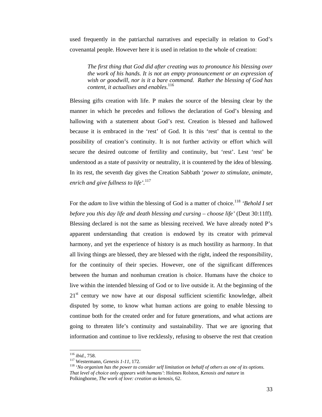used frequently in the patriarchal narratives and especially in relation to God's covenantal people. However here it is used in relation to the whole of creation:

*The first thing that God did after creating was to pronounce his blessing over the work of his hands. It is not an empty pronouncement or an expression of wish or goodwill, nor is it a bare command. Rather the blessing of God has content, it actualises and enables*. 116

Blessing gifts creation with life. P makes the source of the blessing clear by the manner in which he precedes and follows the declaration of God's blessing and hallowing with a statement about God's rest. Creation is blessed and hallowed because it is embraced in the 'rest' of God. It is this 'rest' that is central to the possibility of creation's continuity. It is not further activity or effort which will secure the desired outcome of fertility and continuity, but 'rest'. Lest 'rest' be understood as a state of passivity or neutrality, it is countered by the idea of blessing. In its rest, the seventh day gives the Creation Sabbath '*power to stimulate, animate, enrich and give fullness to life'.*<sup>117</sup>

For the *adam* to live within the blessing of God is a matter of choice.<sup>118</sup> 'Behold I set *before you this day life and death blessing and cursing – choose life'* (Deut 30:11ff). Blessing declared is not the same as blessing received. We have already noted P's apparent understanding that creation is endowed by its creator with primeval harmony, and yet the experience of history is as much hostility as harmony. In that all living things are blessed, they are blessed with the right, indeed the responsibility, for the continuity of their species. However, one of the significant differences between the human and nonhuman creation is choice. Humans have the choice to live within the intended blessing of God or to live outside it. At the beginning of the  $21<sup>st</sup>$  century we now have at our disposal sufficient scientific knowledge, albeit disputed by some, to know what human actions are going to enable blessing to continue both for the created order and for future generations, and what actions are going to threaten life's continuity and sustainability. That we are ignoring that information and continue to live recklessly, refusing to observe the rest that creation

 $116$  ibid., 758.

<sup>&</sup>lt;sup>117</sup> Westermann, *Genesis 1-11*, 172.<br><sup>118</sup> '*No organism has the power to consider self limitation on behalf of others as one of its options. That level of choice only appears with humans'*: Holmes Rolston, *Kenosis and nature* in Polkinghorne, *The work of love: creation as kenosis,* 62.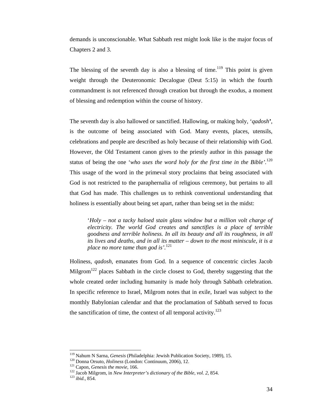demands is unconscionable. What Sabbath rest might look like is the major focus of Chapters 2 and 3.

The blessing of the seventh day is also a blessing of time.<sup>119</sup> This point is given weight through the Deuteronomic Decalogue (Deut 5:15) in which the fourth commandment is not referenced through creation but through the exodus, a moment of blessing and redemption within the course of history.

The seventh day is also hallowed or sanctified. Hallowing, or making holy, '*qadosh'*, is the outcome of being associated with God. Many events, places, utensils, celebrations and people are described as holy because of their relationship with God. However, the Old Testament canon gives to the priestly author in this passage the status of being the one '*who uses the word holy for the first time in the Bible'.*<sup>120</sup> This usage of the word in the primeval story proclaims that being associated with God is not restricted to the paraphernalia of religious ceremony, but pertains to all that God has made. This challenges us to rethink conventional understanding that holiness is essentially about being set apart, rather than being set in the midst:

'*Holy – not a tacky haloed stain glass window but a million volt charge of electricity. The world God creates and sanctifies is a place of terrible goodness and terrible holiness. In all its beauty and all its roughness, in all its lives and deaths, and in all its matter – down to the most miniscule, it is a place no more tame than god is'.*<sup>121</sup>

Holiness, *qadosh,* emanates from God. In a sequence of concentric circles Jacob Milgrom<sup>122</sup> places Sabbath in the circle closest to God, thereby suggesting that the whole created order including humanity is made holy through Sabbath celebration. In specific reference to Israel, Milgrom notes that in exile, Israel was subject to the monthly Babylonian calendar and that the proclamation of Sabbath served to focus the sanctification of time, the context of all temporal activity.<sup>123</sup>

<sup>&</sup>lt;sup>119</sup> Nahum N Sarna, *Genesis* (Philadelphia: Jewish Publication Society, 1989), 15.<br><sup>120</sup> Donna Orsuto, *Holiness* (London: Continuum, 2006), 12.<br><sup>121</sup> Capon, *Genesis the movie*, 166.<br><sup>122</sup> Jacob Milgrom, in *New Interp*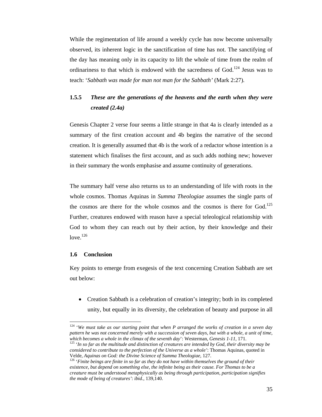While the regimentation of life around a weekly cycle has now become universally observed, its inherent logic in the sanctification of time has not. The sanctifying of the day has meaning only in its capacity to lift the whole of time from the realm of ordinariness to that which is endowed with the sacredness of  $God.<sup>124</sup>$  Jesus was to teach: '*Sabbath was made for man not man for the Sabbath'* (Mark 2:27)*.*

# **1.5.5** *These are the generations of the heavens and the earth when they were created (2.4a)*

Genesis Chapter 2 verse four seems a little strange in that 4a is clearly intended as a summary of the first creation account and 4b begins the narrative of the second creation. It is generally assumed that 4b is the work of a redactor whose intention is a statement which finalises the first account, and as such adds nothing new; however in their summary the words emphasise and assume continuity of generations.

The summary half verse also returns us to an understanding of life with roots in the whole cosmos. Thomas Aquinas in *Summa Theologiae* assumes the single parts of the cosmos are there for the whole cosmos and the cosmos is there for  $God.125$ Further, creatures endowed with reason have a special teleological relationship with God to whom they can reach out by their action, by their knowledge and their love. $126$ 

## **1.6 Conclusion**

 $\overline{a}$ 

Key points to emerge from exegesis of the text concerning Creation Sabbath are set out below:

• Creation Sabbath is a celebration of creation's integrity; both in its completed unity, but equally in its diversity, the celebration of beauty and purpose in all

<sup>124 &#</sup>x27;*We must take as our starting point that when P arranged the works of creation in a seven day pattern he was not concerned merely with a succession of seven days, but with a whole, a unit of time, which becomes a whole in the climax of the seventh day': Westerman, Genesis 1-11, 171.* 

<sup>&</sup>lt;sup>125</sup> 'In so far as the multitude and distinction of creatures are intended by God, their diversity may be *considered to contribute to the perfection of the Universe as a whole'*: Thomas Aquinas, quoted in

<sup>&</sup>lt;sup>126</sup> '*Finite beings are finite in so far as they do not have within themselves the ground of their existence, but depend on something else, the infinite being as their cause. For Thomas to be a creature must be understood metaphysically as being through participation, participation signifies the mode of being of creatures'*: *ibid.,* 139,140.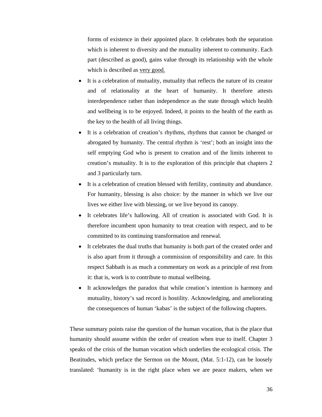forms of existence in their appointed place. It celebrates both the separation which is inherent to diversity and the mutuality inherent to community. Each part (described as good), gains value through its relationship with the whole which is described as very good.

- It is a celebration of mutuality, mutuality that reflects the nature of its creator and of relationality at the heart of humanity. It therefore attests interdependence rather than independence as the state through which health and wellbeing is to be enjoyed. Indeed, it points to the health of the earth as the key to the health of all living things.
- It is a celebration of creation's rhythms, rhythms that cannot be changed or abrogated by humanity. The central rhythm is 'rest'; both an insight into the self emptying God who is present to creation and of the limits inherent to creation's mutuality. It is to the exploration of this principle that chapters 2 and 3 particularly turn.
- It is a celebration of creation blessed with fertility, continuity and abundance. For humanity, blessing is also choice: by the manner in which we live our lives we either live with blessing, or we live beyond its canopy.
- It celebrates life's hallowing. All of creation is associated with God. It is therefore incumbent upon humanity to treat creation with respect, and to be committed to its continuing transformation and renewal.
- It celebrates the dual truths that humanity is both part of the created order and is also apart from it through a commission of responsibility and care. In this respect Sabbath is as much a commentary on work as a principle of rest from it: that is, work is to contribute to mutual wellbeing.
- It acknowledges the paradox that while creation's intention is harmony and mutuality, history's sad record is hostility. Acknowledging, and ameliorating the consequences of human 'kabas' is the subject of the following chapters.

These summary points raise the question of the human vocation, that is the place that humanity should assume within the order of creation when true to itself. Chapter 3 speaks of the crisis of the human vocation which underlies the ecological crisis. The Beatitudes, which preface the Sermon on the Mount, (Mat. 5:1-12), can be loosely translated: 'humanity is in the right place when we are peace makers, when we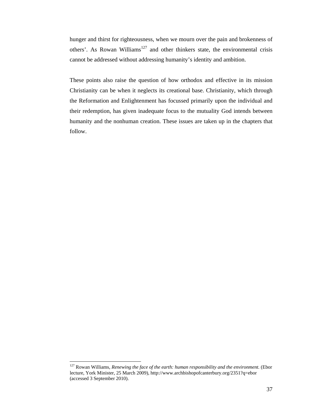hunger and thirst for righteousness, when we mourn over the pain and brokenness of others'. As Rowan Williams<sup>127</sup> and other thinkers state, the environmental crisis cannot be addressed without addressing humanity's identity and ambition.

These points also raise the question of how orthodox and effective in its mission Christianity can be when it neglects its creational base. Christianity, which through the Reformation and Enlightenment has focussed primarily upon the individual and their redemption, has given inadequate focus to the mutuality God intends between humanity and the nonhuman creation. These issues are taken up in the chapters that follow.

<sup>127</sup> Rowan Williams, *Renewing the face of the earth: human responsibility and the environment.* (Ebor lecture, York Minister, 25 March 2009), http://www.archbishopofcanterbury.org/2351?q=ebor (accessed 3 September 2010).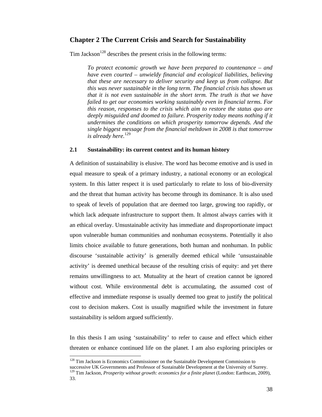## **Chapter 2 The Current Crisis and Search for Sustainability**

Tim Jackson<sup>128</sup> describes the present crisis in the following terms:

*To protect economic growth we have been prepared to countenance – and have even courted – unwieldy financial and ecological liabilities, believing that these are necessary to deliver security and keep us from collapse. But this was never sustainable in the long term. The financial crisis has shown us that it is not even sustainable in the short term. The truth is that we have failed to get our economies working sustainably even in financial terms. For this reason, responses to the crisis which aim to restore the status quo are deeply misguided and doomed to failure. Prosperity today means nothing if it undermines the conditions on which prosperity tomorrow depends. And the single biggest message from the financial meltdown in 2008 is that tomorrow is already here.*<sup>129</sup>

## **2.1 Sustainability: its current context and its human history**

A definition of sustainability is elusive. The word has become emotive and is used in equal measure to speak of a primary industry, a national economy or an ecological system. In this latter respect it is used particularly to relate to loss of bio-diversity and the threat that human activity has become through its dominance. It is also used to speak of levels of population that are deemed too large, growing too rapidly, or which lack adequate infrastructure to support them. It almost always carries with it an ethical overlay. Unsustainable activity has immediate and disproportionate impact upon vulnerable human communities and nonhuman ecosystems. Potentially it also limits choice available to future generations, both human and nonhuman. In public discourse 'sustainable activity' is generally deemed ethical while 'unsustainable activity' is deemed unethical because of the resulting crisis of equity: and yet there remains unwillingness to act. Mutuality at the heart of creation cannot be ignored without cost. While environmental debt is accumulating, the assumed cost of effective and immediate response is usually deemed too great to justify the political cost to decision makers. Cost is usually magnified while the investment in future sustainability is seldom argued sufficiently.

In this thesis I am using 'sustainability' to refer to cause and effect which either threaten or enhance continued life on the planet. I am also exploring principles or

<sup>&</sup>lt;sup>128</sup> Tim Jackson is Economics Commissioner on the Sustainable Development Commission to successive UK Governments and Professor of Sustainable Development at the University of Surrey. 129 Tim Jackson, *Prosperity without growth: economics for a finite planet* (London: Earthscan, 2009), 33.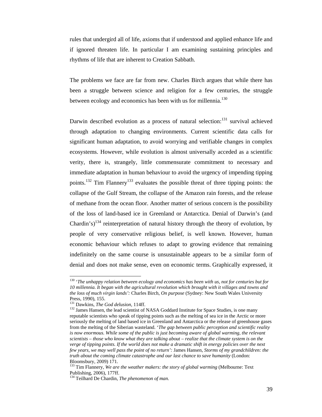rules that undergird all of life, axioms that if understood and applied enhance life and if ignored threaten life. In particular I am examining sustaining principles and rhythms of life that are inherent to Creation Sabbath.

The problems we face are far from new. Charles Birch argues that while there has been a struggle between science and religion for a few centuries, the struggle between ecology and economics has been with us for millennia.<sup>130</sup>

Darwin described evolution as a process of natural selection:<sup>131</sup> survival achieved through adaptation to changing environments. Current scientific data calls for significant human adaptation, to avoid worrying and verifiable changes in complex ecosystems. However, while evolution is almost universally acceded as a scientific verity, there is, strangely, little commensurate commitment to necessary and immediate adaptation in human behaviour to avoid the urgency of impending tipping points.<sup>132</sup> Tim Flannery<sup>133</sup> evaluates the possible threat of three tipping points: the collapse of the Gulf Stream, the collapse of the Amazon rain forests, and the release of methane from the ocean floor. Another matter of serious concern is the possibility of the loss of land-based ice in Greenland or Antarctica. Denial of Darwin's (and Chardin's)<sup>134</sup> reinterpretation of natural history through the theory of evolution, by people of very conservative religious belief, is well known. However, human economic behaviour which refuses to adapt to growing evidence that remaining indefinitely on the same course is unsustainable appears to be a similar form of denial and does not make sense, even on economic terms. Graphically expressed, it

<sup>130 &#</sup>x27;*The unhappy relation between ecology and economics has been with us, not for centuries but for 10 millennia. It began with the agricultural revolution which brought with it villages and towns and the loss of much virgin lands':* Charles Birch, *On purpose* (Sydney: New South Wales University Press, 1990), 155.<br><sup>131</sup> Dawkins, *The God delusion*, 114ff.

<sup>&</sup>lt;sup>132</sup> James Hansen, the lead scientist of NASA Goddard Institute for Space Studies, is one many reputable scientists who speak of tipping points such as the melting of sea ice in the Arctic or more seriously the melting of land based ice in Greenland and Antarctica or the release of greenhouse gases from the melting of the Siberian wasteland. '*The gap between public perception and scientific reality*  is now enormous. While some of the public is just becoming aware of global warming, the relevant *scientists – those who know what they are talking about – realize that the climate system is on the verge of tipping points. If the world does not make a dramatic shift in energy policies over the next few years, we may well pass the point of no return':* James Hansen, *Storms of my grandchildren: the truth about the coming climate catastrophe and our last chance to save humanity* (London: Bloomsbury, 2009) 171.

<sup>&</sup>lt;sup>133</sup> Tim Flannery, *We are the weather makers: the story of global warming* (Melbourne: Text Publishing, 2006), 177ff.

<sup>134</sup> Teilhard De Chardin, *The phenomenon of man.*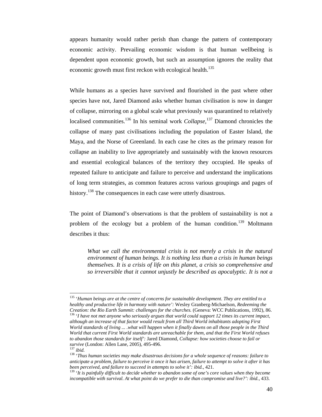appears humanity would rather perish than change the pattern of contemporary economic activity. Prevailing economic wisdom is that human wellbeing is dependent upon economic growth, but such an assumption ignores the reality that economic growth must first reckon with ecological health.<sup>135</sup>

While humans as a species have survived and flourished in the past where other species have not, Jared Diamond asks whether human civilisation is now in danger of collapse, mirroring on a global scale what previously was quarantined to relatively localised communities.136 In his seminal work *Collapse,*137 Diamond chronicles the collapse of many past civilisations including the population of Easter Island, the Maya, and the Norse of Greenland. In each case he cites as the primary reason for collapse an inability to live appropriately and sustainably with the known resources and essential ecological balances of the territory they occupied. He speaks of repeated failure to anticipate and failure to perceive and understand the implications of long term strategies, as common features across various groupings and pages of history.<sup>138</sup> The consequences in each case were utterly disastrous.

The point of Diamond's observations is that the problem of sustainability is not a problem of the ecology but a problem of the human condition.<sup>139</sup> Moltmann describes it thus:

*What we call the environmental crisis is not merely a crisis in the natural environment of human beings. It is nothing less than a crisis in human beings themselves. It is a crisis of life on this planet, a crisis so comprehensive and so irreversible that it cannot unjustly be described as apocalyptic. It is not a* 

<sup>135 &#</sup>x27;*Human beings are at the centre of concerns for sustainable development. They are entitled to a healthy and productive life in harmony with nature':* Wesley Granberg-Michaelson, *Redeeming the Creation: the Rio Earth Summit: challenges for the churches.* (Geneva: WCC Publications, 1992), 86. 136 '*I have not met anyone who seriously argues that world could support 12 times its current impact, although an increase of that factor would result from all Third World inhabitants adopting First World standards of living ... .what will happen when it finally dawns on all those people in the Third World that current First World standards are unreachable for them, and that the First World refuses to abandon those standards for itself':* Jared Diamond, *Collapse: how societies choose to fail or* 

<sup>&</sup>lt;sup>137</sup> ibid.<br><sup>138</sup> '*Thus human societies may make disastrous decisions for a whole sequence of reasons: failure to anticipate a problem, failure to perceive it once it has arisen, failure to attempt to solve it after it has* 

<sup>&</sup>lt;sup>139</sup> 'It is painfully difficult to decide whether to abandon some of one's core values when they become *incompatible with survival. At what point do we prefer to die than compromise and live?': ibid.*, 433.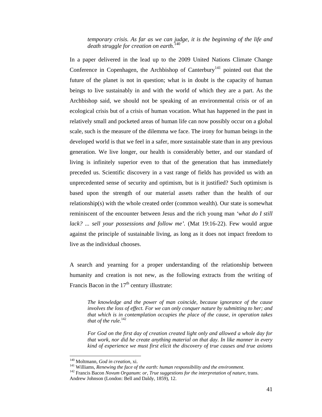*temporary crisis. As far as we can judge, it is the beginning of the life and death struggle for creation on earth.*<sup>140</sup>

In a paper delivered in the lead up to the 2009 United Nations Climate Change Conference in Copenhagen, the Archbishop of Canterbury<sup>141</sup> pointed out that the future of the planet is not in question; what is in doubt is the capacity of human beings to live sustainably in and with the world of which they are a part. As the Archbishop said, we should not be speaking of an environmental crisis or of an ecological crisis but of a crisis of human vocation. What has happened in the past in relatively small and pocketed areas of human life can now possibly occur on a global scale, such is the measure of the dilemma we face. The irony for human beings in the developed world is that we feel in a safer, more sustainable state than in any previous generation. We live longer, our health is considerably better, and our standard of living is infinitely superior even to that of the generation that has immediately preceded us. Scientific discovery in a vast range of fields has provided us with an unprecedented sense of security and optimism, but is it justified? Such optimism is based upon the strength of our material assets rather than the health of our relationship(s) with the whole created order (common wealth). Our state is somewhat reminiscent of the encounter between Jesus and the rich young man *'what do I still lack? ... sell your possessions and follow me'.* (Mat 19:16-22). Few would argue against the principle of sustainable living, as long as it does not impact freedom to live as the individual chooses.

A search and yearning for a proper understanding of the relationship between humanity and creation is not new, as the following extracts from the writing of Francis Bacon in the  $17<sup>th</sup>$  century illustrate:

*The knowledge and the power of man coincide, because ignorance of the cause involves the loss of effect. For we can only conquer nature by submitting to her; and that which is in contemplation occupies the place of the cause, in operation takes*  that of the rule.<sup>142</sup>

*For God on the first day of creation created light only and allowed a whole day for that work, nor did he create anything material on that day. In like manner in every kind of experience we must first elicit the discovery of true causes and true axioms* 

<sup>&</sup>lt;sup>140</sup> Moltmann, God in creation, xi.

<sup>&</sup>lt;sup>141</sup> Williams, *Renewing the face of the earth: human responsibility and the environment.*<br><sup>142</sup> Francis Bacon *Novum Organum: or, True suggestions for the interpretation of nature, trans.* Andrew Johnson (London: Bell and Daldy, 1859), 12.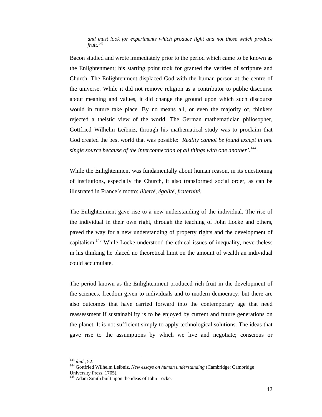*and must look for experiments which produce light and not those which produce fruit.*<sup>143</sup>

Bacon studied and wrote immediately prior to the period which came to be known as the Enlightenment; his starting point took for granted the verities of scripture and Church. The Enlightenment displaced God with the human person at the centre of the universe. While it did not remove religion as a contributor to public discourse about meaning and values, it did change the ground upon which such discourse would in future take place. By no means all, or even the majority of, thinkers rejected a theistic view of the world. The German mathematician philosopher, Gottfried Wilhelm Leibniz, through his mathematical study was to proclaim that God created the best world that was possible: '*Reality cannot be found except in one single source because of the interconnection of all things with one another'.*<sup>144</sup>

While the Enlightenment was fundamentally about human reason, in its questioning of institutions, especially the Church, it also transformed social order, as can be illustrated in France's motto: *liberté, égalité, fraternité.* 

The Enlightenment gave rise to a new understanding of the individual. The rise of the individual in their own right, through the teaching of John Locke and others, paved the way for a new understanding of property rights and the development of capitalism.145 While Locke understood the ethical issues of inequality, nevertheless in his thinking he placed no theoretical limit on the amount of wealth an individual could accumulate.

The period known as the Enlightenment produced rich fruit in the development of the sciences, freedom given to individuals and to modern democracy; but there are also outcomes that have carried forward into the contemporary age that need reassessment if sustainability is to be enjoyed by current and future generations on the planet. It is not sufficient simply to apply technological solutions. The ideas that gave rise to the assumptions by which we live and negotiate; conscious or

 $143$  ibid., 52.

<sup>&</sup>lt;sup>144</sup> Gottfried Wilhelm Leibniz, *New essays on human understanding* (Cambridge: Cambridge University Press, 1705).

<sup>&</sup>lt;sup>145</sup> Adam Smith built upon the ideas of John Locke.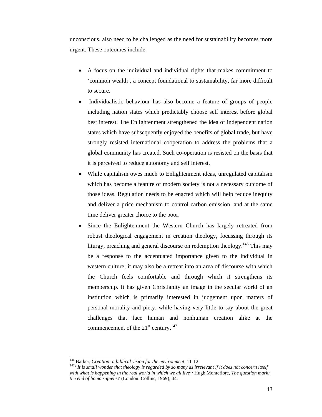unconscious, also need to be challenged as the need for sustainability becomes more urgent. These outcomes include:

- A focus on the individual and individual rights that makes commitment to 'common wealth', a concept foundational to sustainability, far more difficult to secure.
- Individualistic behaviour has also become a feature of groups of people including nation states which predictably choose self interest before global best interest. The Enlightenment strengthened the idea of independent nation states which have subsequently enjoyed the benefits of global trade, but have strongly resisted international cooperation to address the problems that a global community has created. Such co-operation is resisted on the basis that it is perceived to reduce autonomy and self interest.
- While capitalism owes much to Enlightenment ideas, unregulated capitalism which has become a feature of modern society is not a necessary outcome of those ideas. Regulation needs to be enacted which will help reduce inequity and deliver a price mechanism to control carbon emission, and at the same time deliver greater choice to the poor.
- Since the Enlightenment the Western Church has largely retreated from robust theological engagement in creation theology, focussing through its liturgy, preaching and general discourse on redemption theology.<sup>146</sup> This may be a response to the accentuated importance given to the individual in western culture; it may also be a retreat into an area of discourse with which the Church feels comfortable and through which it strengthens its membership. It has given Christianity an image in the secular world of an institution which is primarily interested in judgement upon matters of personal morality and piety, while having very little to say about the great challenges that face human and nonhuman creation alike at the commencement of the  $21<sup>st</sup>$  century.<sup>147</sup>

<sup>&</sup>lt;sup>146</sup> Barker, *Creation: a biblical vision for the environment*, 11-12.<br><sup>147</sup>' It is small wonder that theology is regarded by so many as irrelevant if it does not concern itself *with what is happening in the real world in which we all live':* Hugh Montefiore, *The question mark: the end of homo sapiens?* (London: Collins, 1969), 44.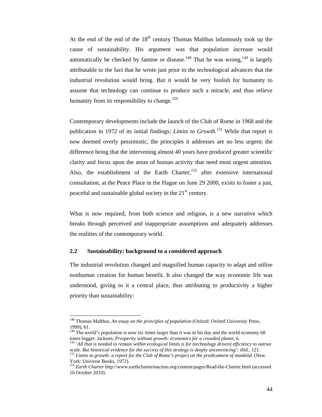At the end of the end of the  $18<sup>th</sup>$  century Thomas Malthus infamously took up the cause of sustainability. His argument was that population increase would automatically be checked by famine or disease.<sup>148</sup> That he was wrong,<sup>149</sup> is largely attributable to the fact that he wrote just prior to the technological advances that the industrial revolution would bring. But it would be very foolish for humanity to assume that technology can continue to produce such a miracle, and thus relieve humanity from its responsibility to change.<sup>150</sup>

Contemporary developments include the launch of the Club of Rome in 1968 and the publication in 1972 of its initial findings: *Limits to Growth.*<sup>151</sup> While that report is now deemed overly pessimistic, the principles it addresses are no less urgent; the difference being that the intervening almost 40 years have produced greater scientific clarity and focus upon the areas of human activity that need most urgent attention*.*  Also, the establishment of the Earth Charter,  $152$  after extensive international consultation, at the Peace Place in the Hague on June 29 2000, exists to foster a just, peaceful and sustainable global society in the  $21<sup>st</sup>$  century.

What is now required, from both science and religion, is a new narrative which breaks through perceived and inappropriate assumptions and adequately addresses the realities of the contemporary world.

#### **2.2 Sustainability: background to a considered approach**

The industrial revolution changed and magnified human capacity to adapt and utilise nonhuman creation for human benefit. It also changed the way economic life was understood, giving to it a central place, thus attributing to productivity a higher priority than sustainability:

<sup>148</sup> Thomas Malthus, *An essay on the principles of population* (Oxford: Oxford University Press, 1999), 61.

<sup>&</sup>lt;sup>149</sup> The world's population is now six times larger than it was in his day and the world economy 68 times bigger: Jackson, *Prosperity without growth: economics for a crowded planet*, 6.

<sup>&</sup>lt;sup>150</sup> 'All that is needed to remain within ecological limits is for (technology driven) efficiency to outrun *scale. But historical evidence for the success of this strategy is deeply unconvincing': ibid.*, 121. 151 *Limits to growth: a report for the Club of Rome's project on the predicament of mankind.* (New

York: Universe Books, 1972).

<sup>152</sup> *Earth Charter* http://www.earthcharterinaction.org/content/pages/Read-the-Charter.html (accessed 16 October 2010).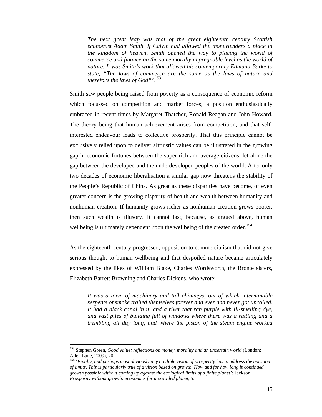*The next great leap was that of the great eighteenth century Scottish economist Adam Smith. If Calvin had allowed the moneylenders a place in the kingdom of heaven, Smith opened the way to placing the world of commerce and finance on the same morally impregnable level as the world of nature. It was Smith's work that allowed his contemporary Edmund Burke to state, "The laws of commerce are the same as the laws of nature and therefore the laws of God"'.*<sup>153</sup>

Smith saw people being raised from poverty as a consequence of economic reform which focussed on competition and market forces; a position enthusiastically embraced in recent times by Margaret Thatcher, Ronald Reagan and John Howard. The theory being that human achievement arises from competition, and that selfinterested endeavour leads to collective prosperity. That this principle cannot be exclusively relied upon to deliver altruistic values can be illustrated in the growing gap in economic fortunes between the super rich and average citizens, let alone the gap between the developed and the underdeveloped peoples of the world. After only two decades of economic liberalisation a similar gap now threatens the stability of the People's Republic of China. As great as these disparities have become, of even greater concern is the growing disparity of health and wealth between humanity and nonhuman creation. If humanity grows richer as nonhuman creation grows poorer, then such wealth is illusory. It cannot last, because, as argued above, human wellbeing is ultimately dependent upon the wellbeing of the created order.<sup>154</sup>

As the eighteenth century progressed, opposition to commercialism that did not give serious thought to human wellbeing and that despoiled nature became articulately expressed by the likes of William Blake, Charles Wordsworth, the Bronte sisters, Elizabeth Barrett Browning and Charles Dickens, who wrote:

*It was a town of machinery and tall chimneys, out of which interminable serpents of smoke trailed themselves forever and ever and never got uncoiled. It had a black canal in it, and a river that ran purple with ill-smelling dye, and vast piles of building full of windows where there was a rattling and a trembling all day long, and where the piston of the steam engine worked* 

<sup>153</sup> Stephen Green, *Good value: reflections on money, morality and an uncertain world* (London: Allen Lane, 2009), 70.

<sup>154 &#</sup>x27;*Finally, and perhaps most obviously any credible vision of prosperity has to address the question of limits. This is particularly true of a vision based on growth. How and for how long is continued growth possible without coming up against the ecological limits of a finite planet':* Jackson, *Prosperity without growth: economics for a crowded planet*, 5.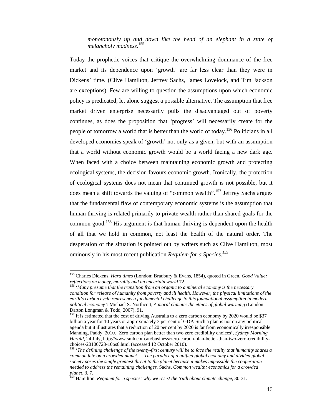*monotonously up and down like the head of an elephant in a state of melancholy madness.*<sup>155</sup>

Today the prophetic voices that critique the overwhelming dominance of the free market and its dependence upon 'growth' are far less clear than they were in Dickens' time. (Clive Hamilton, Jeffrey Sachs, James Lovelock, and Tim Jackson are exceptions). Few are willing to question the assumptions upon which economic policy is predicated, let alone suggest a possible alternative. The assumption that free market driven enterprise necessarily pulls the disadvantaged out of poverty continues, as does the proposition that 'progress' will necessarily create for the people of tomorrow a world that is better than the world of today.<sup>156</sup> Politicians in all developed economies speak of 'growth' not only as a given, but with an assumption that a world without economic growth would be a world facing a new dark age. When faced with a choice between maintaining economic growth and protecting ecological systems, the decision favours economic growth. Ironically, the protection of ecological systems does not mean that continued growth is not possible, but it does mean a shift towards the valuing of "common wealth".<sup>157</sup> Jeffrey Sachs argues that the fundamental flaw of contemporary economic systems is the assumption that human thriving is related primarily to private wealth rather than shared goals for the common good.<sup>158</sup> His argument is that human thriving is dependent upon the health of all that we hold in common, not least the health of the natural order. The desperation of the situation is pointed out by writers such as Clive Hamilton, most ominously in his most recent publication *Requiem for a Species.<sup>159</sup>*

<sup>155</sup> Charles Dickens, *Hard times* (London: Bradbury & Evans, 1854), quoted in Green, *Good Value: reflections on money, morality and an uncertain world* 72.<br><sup>156</sup> 'Many presume that the transition from an organic to a mineral economy is the necessary

*condition for release of humanity from poverty and ill health. However, the physical limitations of the earth's carbon cycle represents a fundamental challenge to this foundational assumption in modern political economy':* Michael S. Northcott, *A moral climate: the ethics of global warming* (London: Darton Longman & Todd, 2007), 91.<br><sup>157</sup> It is estimated that the cost of driving Australia to a zero carbon economy by 2020 would be \$37

billion a year for 10 years or approximately 3 per cent of GDP. Such a plan is not on any political agenda but it illustrates that a reduction of 20 per cent by 2020 is far from economically irresponsible. Manning, Paddy. 2010. 'Zero carbon plan better than two zero credibility choices', *Sydney Morning Herald*, 24 July, http://www.smh.com.au/business/zero-carbon-plan-better-than-two-zero-credibilitychoices-20100723-10os6.html (accessed 12 October 2010).

<sup>158 &#</sup>x27;*The defining challenge of the twenty-first century will be to face the reality that humanity shares a common fate on a crowded planet. ... The paradox of a unified global economy and divided global society poses the single greatest threat to the planet because it makes impossible the cooperation needed to address the remaining challenges.* Sachs, *Common wealth: economics for a crowded planet,* 3, 7. 159 Hamilton, *Requiem for a species: why we resist the truth about climate change,* 30-31.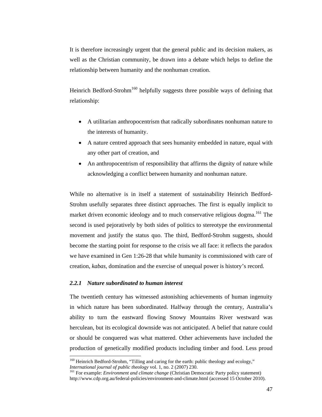It is therefore increasingly urgent that the general public and its decision makers, as well as the Christian community, be drawn into a debate which helps to define the relationship between humanity and the nonhuman creation.

Heinrich Bedford-Strohm<sup>160</sup> helpfully suggests three possible ways of defining that relationship:

- A utilitarian anthropocentrism that radically subordinates nonhuman nature to the interests of humanity.
- A nature centred approach that sees humanity embedded in nature, equal with any other part of creation, and
- An anthropocentrism of responsibility that affirms the dignity of nature while acknowledging a conflict between humanity and nonhuman nature.

While no alternative is in itself a statement of sustainability Heinrich Bedford-Strohm usefully separates three distinct approaches. The first is equally implicit to market driven economic ideology and to much conservative religious dogma.<sup>161</sup> The second is used pejoratively by both sides of politics to stereotype the environmental movement and justify the status quo. The third, Bedford-Strohm suggests, should become the starting point for response to the crisis we all face: it reflects the paradox we have examined in Gen 1:26-28 that while humanity is commissioned with care of creation, *kabas,* domination and the exercise of unequal power is history's record.

### *2.2.1 Nature subordinated to human interest*

 $\overline{a}$ 

The twentieth century has witnessed astonishing achievements of human ingenuity in which nature has been subordinated. Halfway through the century, Australia's ability to turn the eastward flowing Snowy Mountains River westward was herculean, but its ecological downside was not anticipated. A belief that nature could or should be conquered was what mattered. Other achievements have included the production of genetically modified products including timber and food. Less proud

<sup>&</sup>lt;sup>160</sup> Heinrich Bedford-Strohm, "Tilling and caring for the earth: public theology and ecology," *International journal of public theology* vol. 1, no. 2 (2007) 230.<br><sup>161</sup> For example: *Environment and climate change* (Christian Democratic Party policy statement)

http://www.cdp.org.au/federal-policies/environment-and-climate.html (accessed 15 October 2010).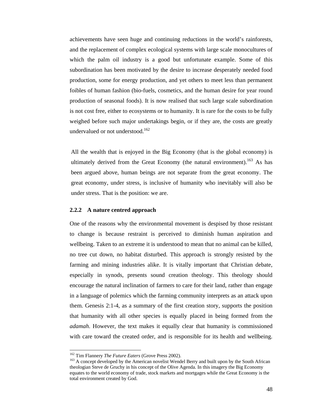achievements have seen huge and continuing reductions in the world's rainforests, and the replacement of complex ecological systems with large scale monocultures of which the palm oil industry is a good but unfortunate example. Some of this subordination has been motivated by the desire to increase desperately needed food production, some for energy production, and yet others to meet less than permanent foibles of human fashion (bio-fuels, cosmetics, and the human desire for year round production of seasonal foods). It is now realised that such large scale subordination is not cost free, either to ecosystems or to humanity. It is rare for the costs to be fully weighed before such major undertakings begin, or if they are, the costs are greatly undervalued or not understood.<sup>162</sup>

All the wealth that is enjoyed in the Big Economy (that is the global economy) is ultimately derived from the Great Economy (the natural environment).<sup>163</sup> As has been argued above, human beings are not separate from the great economy. The great economy, under stress, is inclusive of humanity who inevitably will also be under stress. That is the position: we are.

#### **2.2.2 A nature centred approach**

One of the reasons why the environmental movement is despised by those resistant to change is because restraint is perceived to diminish human aspiration and wellbeing. Taken to an extreme it is understood to mean that no animal can be killed, no tree cut down, no habitat disturbed. This approach is strongly resisted by the farming and mining industries alike. It is vitally important that Christian debate, especially in synods, presents sound creation theology. This theology should encourage the natural inclination of farmers to care for their land, rather than engage in a language of polemics which the farming community interprets as an attack upon them. Genesis 2:1-4, as a summary of the first creation story, supports the position that humanity with all other species is equally placed in being formed from the *adamah*. However, the text makes it equally clear that humanity is commissioned with care toward the created order, and is responsible for its health and wellbeing.

<sup>&</sup>lt;sup>162</sup> Tim Flannery *The Future Eaters* (Grove Press 2002).<br><sup>163</sup> A concept developed by the American novelist Wendel Berry and built upon by the South African theologian Steve de Gruchy in his concept of the Olive Agenda. In this imagery the Big Economy equates to the world economy of trade, stock markets and mortgages while the Great Economy is the total environment created by God.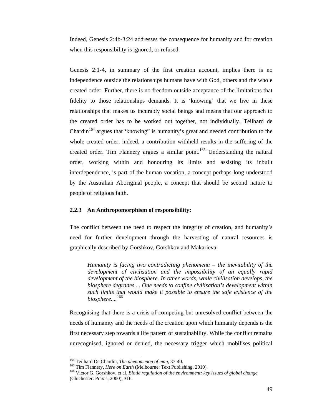Indeed, Genesis 2:4b-3:24 addresses the consequence for humanity and for creation when this responsibility is ignored, or refused.

Genesis 2:1-4, in summary of the first creation account, implies there is no independence outside the relationships humans have with God, others and the whole created order. Further, there is no freedom outside acceptance of the limitations that fidelity to those relationships demands. It is 'knowing' that we live in these relationships that makes us incurably social beings and means that our approach to the created order has to be worked out together, not individually. Teilhard de Chardin<sup>164</sup> argues that 'knowing' is humanity's great and needed contribution to the whole created order; indeed, a contribution withheld results in the suffering of the created order. Tim Flannery argues a similar point.<sup>165</sup> Understanding the natural order, working within and honouring its limits and assisting its inbuilt interdependence, is part of the human vocation, a concept perhaps long understood by the Australian Aboriginal people, a concept that should be second nature to people of religious faith.

### **2.2.3 An Anthropomorphism of responsibility:**

The conflict between the need to respect the integrity of creation, and humanity's need for further development through the harvesting of natural resources is graphically described by Gorshkov, Gorshkov and Makarieva:

*Humanity is facing two contradicting phenomena – the inevitability of the development of civilisation and the impossibility of an equally rapid development of the biosphere. In other words, while civilisation develops, the biosphere degrades ... One needs to confine civilisation's development within such limits that would make it possible to ensure the safe existence of the biosphere....*<sup>166</sup>

Recognising that there is a crisis of competing but unresolved conflict between the needs of humanity and the needs of the creation upon which humanity depends is the first necessary step towards a life pattern of sustainability. While the conflict remains unrecognised, ignored or denied, the necessary trigger which mobilises political

<sup>&</sup>lt;sup>164</sup> Teilhard De Chardin, The phenomenon of man, 37-40.

<sup>&</sup>lt;sup>165</sup> Tim Flannery, *Here on Earth* (Melbourne: Text Publishing, 2010).<br><sup>166</sup> Victor G. Gorshkov, et al. *Biotic regulation of the environment: key issues of global change* (Chichester: Praxis, 2000), 316.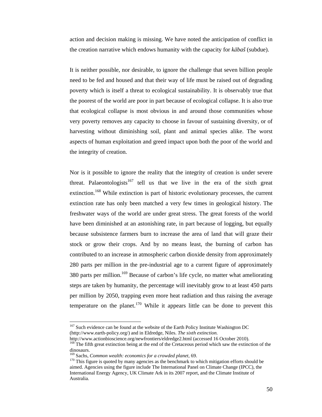action and decision making is missing. We have noted the anticipation of conflict in the creation narrative which endows humanity with the capacity for *kābaš* (subdue).

It is neither possible, nor desirable, to ignore the challenge that seven billion people need to be fed and housed and that their way of life must be raised out of degrading poverty which is itself a threat to ecological sustainability. It is observably true that the poorest of the world are poor in part because of ecological collapse. It is also true that ecological collapse is most obvious in and around those communities whose very poverty removes any capacity to choose in favour of sustaining diversity, or of harvesting without diminishing soil, plant and animal species alike. The worst aspects of human exploitation and greed impact upon both the poor of the world and the integrity of creation.

Nor is it possible to ignore the reality that the integrity of creation is under severe threat. Palaeontologists<sup>167</sup> tell us that we live in the era of the sixth great extinction.<sup>168</sup> While extinction is part of historic evolutionary processes, the current extinction rate has only been matched a very few times in geological history. The freshwater ways of the world are under great stress. The great forests of the world have been diminished at an astonishing rate, in part because of logging, but equally because subsistence farmers burn to increase the area of land that will graze their stock or grow their crops. And by no means least, the burning of carbon has contributed to an increase in atmospheric carbon dioxide density from approximately 280 parts per million in the pre-industrial age to a current figure of approximately 380 parts per million.<sup>169</sup> Because of carbon's life cycle, no matter what ameliorating steps are taken by humanity, the percentage will inevitably grow to at least 450 parts per million by 2050, trapping even more heat radiation and thus raising the average temperature on the planet.<sup>170</sup> While it appears little can be done to prevent this

<sup>&</sup>lt;sup>167</sup> Such evidence can be found at the website of the Earth Policy Institute Washington DC (http://www.earth-policy.org/) and in Eldredge, Niles. *The sixth extinction.*

http://www.actionbioscience.org/newfrontiers/eldredge2.html (accessed 16 October 2010). <sup>168</sup> The fifth great extinction being at the end of the Cretaceous period which saw the extinction of the

dinosaurs.<br><sup>169</sup> Sachs, *Common wealth: economics for a crowded planet*, 69.

<sup>&</sup>lt;sup>170</sup> This figure is quoted by many agencies as the benchmark to which mitigation efforts should be aimed. Agencies using the figure include The International Panel on Climate Change (IPCC), the International Energy Agency, UK Climate Ark in its 2007 report, and the Climate Institute of Australia.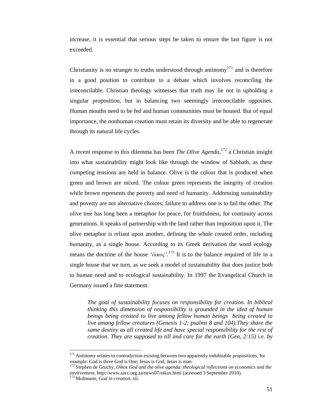increase, it is essential that serious steps be taken to ensure the last figure is not exceeded.

Christianity is no stranger to truths understood through antinomy<sup>171</sup> and is therefore in a good position to contribute to a debate which involves reconciling the irreconcilable. Christian theology witnesses that truth may lie not in upholding a singular proposition, but in balancing two seemingly irreconcilable opposites. Human mouths need to be fed and human communities must be housed. But of equal importance, the nonhuman creation must retain its diversity and be able to regenerate through its natural life cycles.

A recent response to this dilemma has been *The Olive Agenda,*<sup>172</sup> a Christian insight into what sustainability might look like through the window of Sabbath, as these competing tensions are held in balance. Olive is the colour that is produced when green and brown are mixed. The colour green represents the integrity of creation while brown represents the poverty and need of humanity. Addressing sustainability and poverty are not alternative choices; failure to address one is to fail the other. The olive tree has long been a metaphor for peace, for fruitfulness, for continuity across generations. It speaks of partnership with the land rather than imposition upon it. The olive metaphor is reliant upon another, defining the whole created order, including humanity, as a single house. According to its Greek derivation the word ecology means the doctrine of the house ' $\acute{o}i\kappa o\varsigma'$ <sup>'</sup>.<sup>173</sup> It is to the balance required of life in a single house that we turn, as we seek a model of sustainability that does justice both to human need and to ecological sustainability. In 1997 the Evangelical Church in Germany issued a fine statement:

*The goal of sustainability focuses on responsibility for creation. In biblical thinking this dimension of responsibility is grounded in the idea of human beings being created to live among fellow human beings being created to live among fellow creatures (Genesis 1-2; psalms 8 and 104).They share the same destiny as all created life and have special responsibility for the rest of creation. They are supposed to till and care for the earth (Gen, 2:15) i.e. by* 

<sup>&</sup>lt;sup>171</sup> Antinomy relates to contradiction existing between two apparently indubitable propositions, for example: God is three God is One; Jesus is God, Jesus is man.

Stephen de Gruchy, *Oikos God and the olive agenda: theological reflections on economics and the environment*, http://www.sacc.org.za/news07/oikos.html (accessed 3 September 2010). 173 Moltmann, *God in creation,* xii.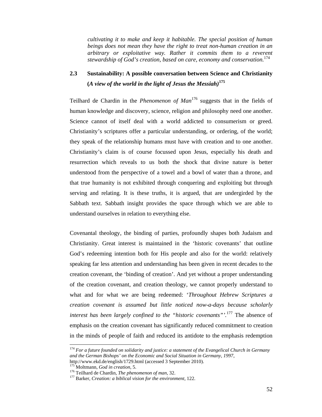*cultivating it to make and keep it habitable. The special position of human beings does not mean they have the right to treat non-human creation in an arbitrary or exploitative way. Rather it commits them to a reverent stewardship of God's creation, based on care, economy and conservation.*<sup>174</sup>

# **2.3 Sustainability: A possible conversation between Science and Christianity (***A view of the world in the light of Jesus the Messiah)***<sup>175</sup>**

Teilhard de Chardin in the *Phenomenon of Man*176 suggests that in the fields of human knowledge and discovery, science, religion and philosophy need one another. Science cannot of itself deal with a world addicted to consumerism or greed. Christianity's scriptures offer a particular understanding, or ordering, of the world; they speak of the relationship humans must have with creation and to one another. Christianity's claim is of course focussed upon Jesus, especially his death and resurrection which reveals to us both the shock that divine nature is better understood from the perspective of a towel and a bowl of water than a throne, and that true humanity is not exhibited through conquering and exploiting but through serving and relating. It is these truths, it is argued, that are undergirded by the Sabbath text. Sabbath insight provides the space through which we are able to understand ourselves in relation to everything else.

Covenantal theology, the binding of parties, profoundly shapes both Judaism and Christianity. Great interest is maintained in the 'historic covenants' that outline God's redeeming intention both for His people and also for the world: relatively speaking far less attention and understanding has been given in recent decades to the creation covenant, the 'binding of creation'. And yet without a proper understanding of the creation covenant, and creation theology, we cannot properly understand to what and for what we are being redeemed: '*Throughout Hebrew Scriptures a creation covenant is assumed but little noticed now-a-days because scholarly interest has been largely confined to the "historic covenants"'.*177 The absence of emphasis on the creation covenant has significantly reduced commitment to creation in the minds of people of faith and reduced its antidote to the emphasis redemption

<sup>174</sup> *For a future founded on solidarity and justice: a statement of the Evangelical Church in Germany and the German Bishops' on the Economic and Social Situation in Germany, 1997*, http://www.ekd.de/english/1729.html (accessed 3 September 2010).<br><sup>175</sup> Moltmann, *God in creation*, 5.

<sup>&</sup>lt;sup>176</sup> Teilhard de Chardin, *The phenomenon of man*, 32.<br><sup>177</sup> Barker, *Creation: a biblical vision for the environment*, 122.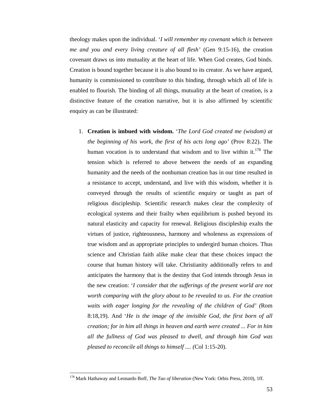theology makes upon the individual. '*I will remember my covenant which is between me and you and every living creature of all flesh'* (Gen 9:15-16), the creation covenant draws us into mutuality at the heart of life. When God creates, God binds. Creation is bound together because it is also bound to its creator. As we have argued, humanity is commissioned to contribute to this binding, through which all of life is enabled to flourish. The binding of all things, mutuality at the heart of creation, is a distinctive feature of the creation narrative, but it is also affirmed by scientific enquiry as can be illustrated:

1. **Creation is imbued with wisdom.** '*The Lord God created me (wisdom) at the beginning of his work, the first of his acts long ago'* (Prov 8:22). The human vocation is to understand that wisdom and to live within it.<sup>178</sup> The tension which is referred to above between the needs of an expanding humanity and the needs of the nonhuman creation has in our time resulted in a resistance to accept, understand, and live with this wisdom, whether it is conveyed through the results of scientific enquiry or taught as part of religious discipleship. Scientific research makes clear the complexity of ecological systems and their frailty when equilibrium is pushed beyond its natural elasticity and capacity for renewal. Religious discipleship exalts the virtues of justice, righteousness, harmony and wholeness as expressions of true wisdom and as appropriate principles to undergird human choices. Thus science and Christian faith alike make clear that these choices impact the course that human history will take. Christianity additionally refers to and anticipates the harmony that is the destiny that God intends through Jesus in the new creation: '*I consider that the sufferings of the present world are not worth comparing with the glory about to be revealed to us. For the creation waits with eager longing for the revealing of the children of God' (*Rom 8:18,19). And '*He is the image of the invisible God, the first born of all creation; for in him all things in heaven and earth were created ... For in him all the fullness of God was pleased to dwell, and through him God was pleased to reconcile all things to himself .... (*Col 1:15-20).

<sup>178</sup> Mark Hathaway and Leonardo Boff, *The Tao of liberation* (New York: Orbis Press, 2010), 1ff.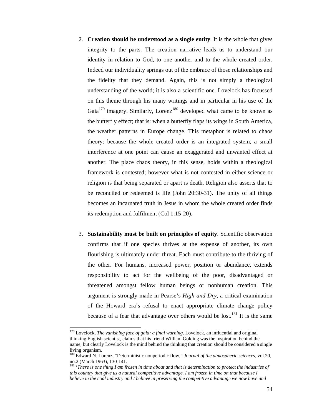- 2. **Creation should be understood as a single entity**. It is the whole that gives integrity to the parts. The creation narrative leads us to understand our identity in relation to God, to one another and to the whole created order. Indeed our individuality springs out of the embrace of those relationships and the fidelity that they demand. Again, this is not simply a theological understanding of the world; it is also a scientific one. Lovelock has focussed on this theme through his many writings and in particular in his use of the Gaia<sup>179</sup> imagery. Similarly, Lorenz<sup>180</sup> developed what came to be known as the butterfly effect; that is: when a butterfly flaps its wings in South America, the weather patterns in Europe change. This metaphor is related to chaos theory: because the whole created order is an integrated system, a small interference at one point can cause an exaggerated and unwanted effect at another. The place chaos theory, in this sense, holds within a theological framework is contested; however what is not contested in either science or religion is that being separated or apart is death. Religion also asserts that to be reconciled or redeemed is life (John 20:30-31). The unity of all things becomes an incarnated truth in Jesus in whom the whole created order finds its redemption and fulfilment (Col 1:15-20).
- 3. **Sustainability must be built on principles of equity**. Scientific observation confirms that if one species thrives at the expense of another, its own flourishing is ultimately under threat. Each must contribute to the thriving of the other. For humans, increased power, position or abundance, extends responsibility to act for the wellbeing of the poor, disadvantaged or threatened amongst fellow human beings or nonhuman creation. This argument is strongly made in Pearse's *High and Dry*, a critical examination of the Howard era's refusal to enact appropriate climate change policy because of a fear that advantage over others would be lost.<sup>181</sup> It is the same

<sup>179</sup> Lovelock, *The vanishing face of gaia: a final warning*. Lovelock, an influential and original thinking English scientist, claims that his friend William Golding was the inspiration behind the name, but clearly Lovelock is the mind behind the thinking that creation should be considered a single living organism.

<sup>180</sup> Edward N. Lorenz, "Deterministic nonperiodic flow," *Journal of the atmospheric sciences*, vol.20, no.2 (March 1963), 130-141.

<sup>&</sup>lt;sup>181</sup> 'There is one thing I am frozen in time about and that is determination to protect the industries of *this country that give us a natural competitive advantage. I am frozen in time on that because I believe in the coal industry and I believe in preserving the competitive advantage we now have and*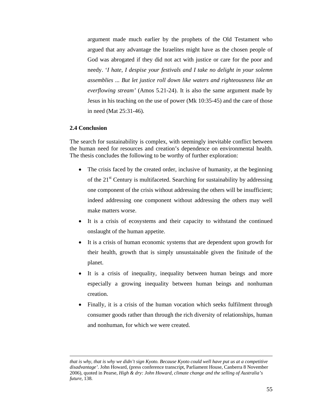argument made much earlier by the prophets of the Old Testament who argued that any advantage the Israelites might have as the chosen people of God was abrogated if they did not act with justice or care for the poor and needy. '*I hate, I despise your festivals and I take no delight in your solemn assemblies ... But let justice roll down like waters and righteousness like an everflowing stream'* (Amos 5.21-24). It is also the same argument made by Jesus in his teaching on the use of power (Mk 10:35-45) and the care of those in need (Mat 25:31-46).

## **2.4 Conclusion**

 $\overline{a}$ 

The search for sustainability is complex, with seemingly inevitable conflict between the human need for resources and creation's dependence on environmental health. The thesis concludes the following to be worthy of further exploration:

- The crisis faced by the created order, inclusive of humanity, at the beginning of the 21<sup>st</sup> Century is multifaceted. Searching for sustainability by addressing one component of the crisis without addressing the others will be insufficient; indeed addressing one component without addressing the others may well make matters worse.
- It is a crisis of ecosystems and their capacity to withstand the continued onslaught of the human appetite.
- It is a crisis of human economic systems that are dependent upon growth for their health, growth that is simply unsustainable given the finitude of the planet.
- It is a crisis of inequality, inequality between human beings and more especially a growing inequality between human beings and nonhuman creation.
- Finally, it is a crisis of the human vocation which seeks fulfilment through consumer goods rather than through the rich diversity of relationships, human and nonhuman, for which we were created.

*that is why, that is why we didn't sign Kyoto. Because Kyoto could well have put us at a competitive disadvantage'.* John Howard*,* (press conference transcript, Parliament House, Canberra 8 November 2006), quoted in Pearse, *High & dry: John Howard, climate change and the selling of Australia's future,* 138*.*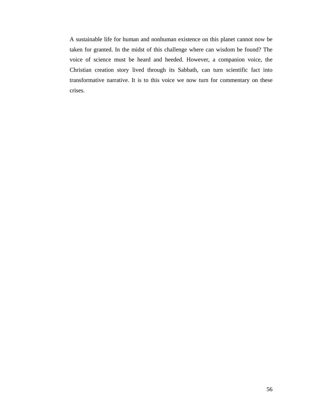A sustainable life for human and nonhuman existence on this planet cannot now be taken for granted. In the midst of this challenge where can wisdom be found? The voice of science must be heard and heeded. However, a companion voice, the Christian creation story lived through its Sabbath, can turn scientific fact into transformative narrative. It is to this voice we now turn for commentary on these crises.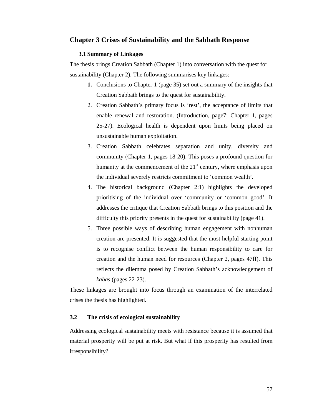## **Chapter 3 Crises of Sustainability and the Sabbath Response**

#### **3.1 Summary of Linkages**

The thesis brings Creation Sabbath (Chapter 1) into conversation with the quest for sustainability (Chapter 2). The following summarises key linkages:

- **1.** Conclusions to Chapter 1 (page 35) set out a summary of the insights that Creation Sabbath brings to the quest for sustainability.
- 2. Creation Sabbath's primary focus is 'rest', the acceptance of limits that enable renewal and restoration. (Introduction, page7; Chapter 1, pages 25-27). Ecological health is dependent upon limits being placed on unsustainable human exploitation.
- 3. Creation Sabbath celebrates separation and unity, diversity and community (Chapter 1, pages 18-20). This poses a profound question for humanity at the commencement of the  $21<sup>st</sup>$  century, where emphasis upon the individual severely restricts commitment to 'common wealth'.
- 4. The historical background (Chapter 2:1) highlights the developed prioritising of the individual over 'community or 'common good'. It addresses the critique that Creation Sabbath brings to this position and the difficulty this priority presents in the quest for sustainability (page 41).
- 5. Three possible ways of describing human engagement with nonhuman creation are presented. It is suggested that the most helpful starting point is to recognise conflict between the human responsibility to care for creation and the human need for resources (Chapter 2, pages 47ff). This reflects the dilemma posed by Creation Sabbath's acknowledgement of *kabas* (pages 22-23).

These linkages are brought into focus through an examination of the interrelated crises the thesis has highlighted.

## **3.2 The crisis of ecological sustainability**

Addressing ecological sustainability meets with resistance because it is assumed that material prosperity will be put at risk. But what if this prosperity has resulted from irresponsibility?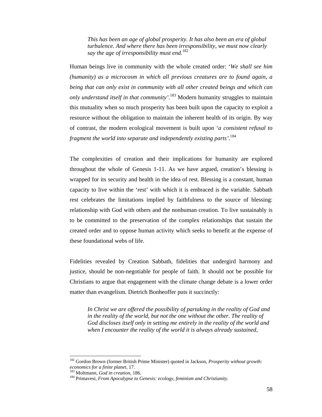*This has been an age of global prosperity. It has also been an era of global turbulence. And where there has been irresponsibility, we must now clearly say the age of irresponsibility must end.*<sup>182</sup>

Human beings live in community with the whole created order: '*We shall see him (humanity) as a microcosm in which all previous creatures are to found again, a being that can only exist in community with all other created beings and which can only understand itself in that community'.*<sup>183</sup> Modern humanity struggles to maintain this mutuality when so much prosperity has been built upon the capacity to exploit a resource without the obligation to maintain the inherent health of its origin. By way of contrast, the modern ecological movement is built upon '*a consistent refusal to fragment the world into separate and independently existing parts'.*<sup>184</sup>

The complexities of creation and their implications for humanity are explored throughout the whole of Genesis 1-11. As we have argued, creation's blessing is wrapped for its security and health in the idea of rest. Blessing is a constant, human capacity to live within the 'rest' with which it is embraced is the variable. Sabbath rest celebrates the limitations implied by faithfulness to the source of blessing: relationship with God with others and the nonhuman creation. To live sustainably is to be committed to the preservation of the complex relationships that sustain the created order and to oppose human activity which seeks to benefit at the expense of these foundational webs of life.

Fidelities revealed by Creation Sabbath, fidelities that undergird harmony and justice, should be non-negotiable for people of faith. It should not be possible for Christians to argue that engagement with the climate change debate is a lower order matter than evangelism. Dietrich Bonheoffer puts it succinctly:

*In Christ we are offered the possibility of partaking in the reality of God and in the reality of the world, but not the one without the other. The reality of God discloses itself only in setting me entirely in the reality of the world and when I encounter the reality of the world it is always already sustained,* 

<sup>182</sup> Gordon Brown (former British Prime Minister) quoted in Jackson, *Prosperity without growth: economics for a finite planet, 17.* 183 Moltmann, *God in creation, 186.* 184 Moltmann, *God in creation, 186.* 184 *Primavesi, <i>From Apocalypse to Genesis: ecology, feminism and Christianity.*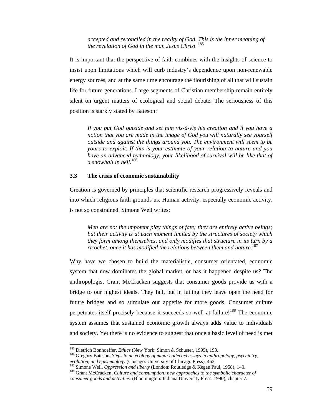*accepted and reconciled in the reality of God. This is the inner meaning of the revelation of God in the man Jesus Christ.* <sup>185</sup>

It is important that the perspective of faith combines with the insights of science to insist upon limitations which will curb industry's dependence upon non-renewable energy sources, and at the same time encourage the flourishing of all that will sustain life for future generations. Large segments of Christian membership remain entirely silent on urgent matters of ecological and social debate. The seriousness of this position is starkly stated by Bateson:

*If you put God outside and set him vis-à-vis his creation and if you have a notion that you are made in the image of God you will naturally see yourself outside and against the things around you. The environment will seem to be yours to exploit. If this is your estimate of your relation to nature and you have an advanced technology, your likelihood of survival will be like that of a snowball in hell.*<sup>186</sup>

#### **3.3 The crisis of economic sustainability**

Creation is governed by principles that scientific research progressively reveals and into which religious faith grounds us. Human activity, especially economic activity, is not so constrained. Simone Weil writes:

*Men are not the impotent play things of fate; they are entirely active beings; but their activity is at each moment limited by the structures of society which they form among themselves, and only modifies that structure in its turn by a ricochet, once it has modified the relations between them and nature.*<sup>187</sup>

Why have we chosen to build the materialistic, consumer orientated, economic system that now dominates the global market, or has it happened despite us? The anthropologist Grant McCracken suggests that consumer goods provide us with a bridge to our highest ideals. They fail, but in failing they leave open the need for future bridges and so stimulate our appetite for more goods. Consumer culture perpetuates itself precisely because it succeeds so well at failure!<sup>188</sup> The economic system assumes that sustained economic growth always adds value to individuals and society. Yet there is no evidence to suggest that once a basic level of need is met

<sup>&</sup>lt;sup>185</sup> Dietrich Bonhoeffer, *Ethics* (New York: Simon & Schuster, 1995), 193.<br><sup>186</sup> Gregory Bateson, *Steps to an ecology of mind: collected essays in anthropology, psychiatry,* evolution, and epistemology (Chicago: University of Chicago Press), 462.<br><sup>187</sup> Simone Weil, *Oppression and liberty* (London: Routledge & Kegan Paul, 1958), 140.<br><sup>188</sup> Grant McCracken, *Culture and consumption: new approac* 

*consumer goods and activities.* (Bloomington: Indiana University Press. 1990), chapter 7.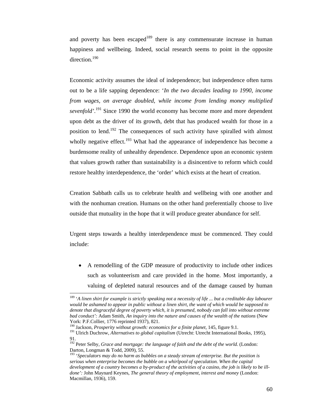and poverty has been escaped $189$  there is any commensurate increase in human happiness and wellbeing. Indeed, social research seems to point in the opposite direction.<sup>190</sup>

Economic activity assumes the ideal of independence; but independence often turns out to be a life sapping dependence: '*In the two decades leading to 1990, income from wages, on average doubled, while income from lending money multiplied sevenfold'*. 191 Since 1990 the world economy has become more and more dependent upon debt as the driver of its growth, debt that has produced wealth for those in a position to lend.<sup>192</sup> The consequences of such activity have spiralled with almost wholly negative effect.<sup>193</sup> What had the appearance of independence has become a burdensome reality of unhealthy dependence. Dependence upon an economic system that values growth rather than sustainability is a disincentive to reform which could restore healthy interdependence, the 'order' which exists at the heart of creation.

Creation Sabbath calls us to celebrate health and wellbeing with one another and with the nonhuman creation. Humans on the other hand preferentially choose to live outside that mutuality in the hope that it will produce greater abundance for self.

Urgent steps towards a healthy interdependence must be commenced. They could include:

• A remodelling of the GDP measure of productivity to include other indices such as volunteerism and care provided in the home. Most importantly, a valuing of depleted natural resources and of the damage caused by human

<sup>189 &#</sup>x27;*A linen shirt for example is strictly speaking not a necessity of life ... but a creditable day labourer would be ashamed to appear in public without a linen shirt, the want of which would be supposed to denote that disgraceful degree of poverty which, it is presumed, nobody can fall into without extreme bad conduct':* Adam Smith, *An inquiry into the nature and causes of the wealth of the nations* (New York: P.F.Collier, 1776 reprinted 1937), 821.<br><sup>190</sup> Jackson, *Prosperity without growth: economics for a finite planet*, 145, figure 9.1.

<sup>&</sup>lt;sup>191</sup> Ulrich Duchrow, *Alternatives to global capitalism* (Utrecht: Utrecht International Books, 1995), 91.

<sup>192</sup> Peter Selby, *Grace and mortgage: the language of faith and the debt of the world.* (London: Darton, Longman & Todd, 2009), 55.

<sup>193 &#</sup>x27;*Speculators may do no harm as bubbles on a steady stream of enterprise. But the position is serious when enterprise becomes the bubble on a whirlpool of speculation. When the capital development of a country becomes a by-product of the activities of a casino, the job is likely to be illdone':* John Maynard Keynes, *The general theory of employment, interest and money* (London: Macmillan, 1936), 159.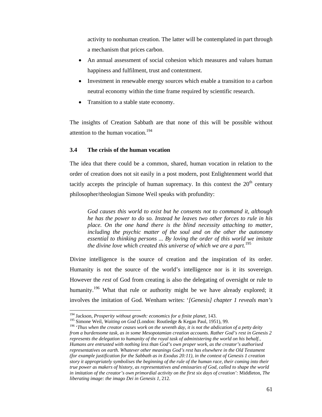activity to nonhuman creation. The latter will be contemplated in part through a mechanism that prices carbon.

- An annual assessment of social cohesion which measures and values human happiness and fulfilment, trust and contentment.
- Investment in renewable energy sources which enable a transition to a carbon neutral economy within the time frame required by scientific research.
- Transition to a stable state economy.

The insights of Creation Sabbath are that none of this will be possible without attention to the human vocation.<sup>194</sup>

### **3.4 The crisis of the human vocation**

The idea that there could be a common, shared, human vocation in relation to the order of creation does not sit easily in a post modern, post Enlightenment world that tacitly accepts the principle of human supremacy. In this context the  $20<sup>th</sup>$  century philosopher/theologian Simone Weil speaks with profundity:

*God causes this world to exist but he consents not to command it, although he has the power to do so. Instead he leaves two other forces to rule in his place. On the one hand there is the blind necessity attaching to matter, including the psychic matter of the soul and on the other the autonomy essential to thinking persons ... By loving the order of this world we imitate the divine love which created this universe of which we are a part.*<sup>195</sup>

Divine intelligence is the source of creation and the inspiration of its order. Humanity is not the source of the world's intelligence nor is it its sovereign. However the *rest* of God from creating is also the delegating of oversight or rule to humanity.<sup>196</sup> What that rule or authority might be we have already explored; it involves the imitation of God. Wenham writes: '*[Genesis] chapter 1 reveals man's* 

<sup>&</sup>lt;sup>194</sup> Jackson, *Prosperity without growth: economics for a finite planet*, 143.<br><sup>195</sup> Simone Weil, *Waiting on God* (London: Routledge & Kegan Paul, 1951), 99.<br><sup>196</sup> '*Thus when the creator ceases work on the seventh day, from a burdensome task, as in some Mesopotamian creation accounts. Rather God's rest in Genesis 2 represents the delegation to humanity of the royal task of administering the world on his behalf., Humans are entrusted with nothing less than God's own proper work, as the creator's authorised representatives on earth. Whatever other meanings God's rest has elsewhere in the Old Testament (for example justification for the Sabbath as in Exodus 20:11), in the context of Genesis 1 creation story it appropriately symbolises the beginning of the rule of the human race, their coming into their true power as makers of history, as representatives and emissaries of God, called to shape the world in imitation of the creator's own primordial activity on the first six days of creation':* Middleton, *The liberating image: the imago Dei in Genesis 1*, 212.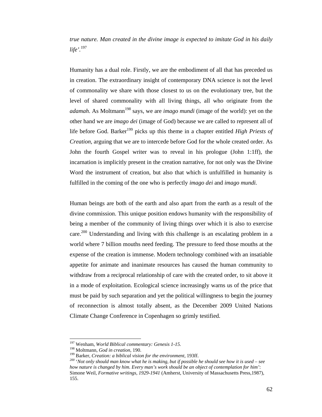*true nature. Man created in the divine image is expected to imitate God in his daily life'.*<sup>197</sup>

Humanity has a dual role. Firstly, we are the embodiment of all that has preceded us in creation. The extraordinary insight of contemporary DNA science is not the level of commonality we share with those closest to us on the evolutionary tree, but the level of shared commonality with all living things, all who originate from the *adamah*. As Moltmann<sup>198</sup> says, we are *imago mundi* (image of the world): yet on the other hand we are *imago dei* (image of God) because we are called to represent all of life before God. Barker<sup>199</sup> picks up this theme in a chapter entitled *High Priests of Creation,* arguing that we are to intercede before God for the whole created order. As John the fourth Gospel writer was to reveal in his prologue (John 1:1ff), the incarnation is implicitly present in the creation narrative, for not only was the Divine Word the instrument of creation, but also that which is unfulfilled in humanity is fulfilled in the coming of the one who is perfectly *imago dei* and *imago mundi.*

Human beings are both of the earth and also apart from the earth as a result of the divine commission. This unique position endows humanity with the responsibility of being a member of the community of living things over which it is also to exercise care.<sup>200</sup> Understanding and living with this challenge is an escalating problem in a world where 7 billion mouths need feeding. The pressure to feed those mouths at the expense of the creation is immense. Modern technology combined with an insatiable appetite for animate and inanimate resources has caused the human community to withdraw from a reciprocal relationship of care with the created order, to sit above it in a mode of exploitation. Ecological science increasingly warns us of the price that must be paid by such separation and yet the political willingness to begin the journey of reconnection is almost totally absent, as the December 2009 United Nations Climate Change Conference in Copenhagen so grimly testified.

<sup>&</sup>lt;sup>197</sup> Wenham, *World Biblical commentary: Genesis 1-15*.<br><sup>198</sup> Moltmann, *God in creation*, 190.<br><sup>199</sup> Barker, *Creation: a biblical vision for the environment*, 193ff.<br><sup>200</sup> 'Not only should man know what he is making, b *how nature is changed by him. Every man's work should be an object of contemplation for him'*: Simone Weil, *Formative writings, 1929-1941* (Amherst, University of Massachusetts Press,1987), 155.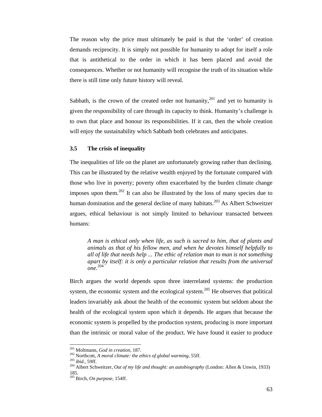The reason why the price must ultimately be paid is that the 'order' of creation demands reciprocity. It is simply not possible for humanity to adopt for itself a role that is antithetical to the order in which it has been placed and avoid the consequences. Whether or not humanity will recognise the truth of its situation while there is still time only future history will reveal.

Sabbath, is the crown of the created order not humanity,<sup>201</sup> and yet to humanity is given the responsibility of care through its capacity to think. Humanity's challenge is to own that place and honour its responsibilities. If it can, then the whole creation will enjoy the sustainability which Sabbath both celebrates and anticipates.

## **3.5 The crisis of inequality**

The inequalities of life on the planet are unfortunately growing rather than declining. This can be illustrated by the relative wealth enjoyed by the fortunate compared with those who live in poverty; poverty often exacerbated by the burden climate change imposes upon them.202 It can also be illustrated by the loss of many species due to human domination and the general decline of many habitats.<sup>203</sup> As Albert Schweitzer argues, ethical behaviour is not simply limited to behaviour transacted between humans:

*A man is ethical only when life, as such is sacred to him, that of plants and animals as that of his fellow men, and when he devotes himself helpfully to all of life that needs help ... The ethic of relation man to man is not something apart by itself: it is only a particular relation that results from the universal one.* 204

Birch argues the world depends upon three interrelated systems: the production system, the economic system and the ecological system.<sup>205</sup> He observes that political leaders invariably ask about the health of the economic system but seldom about the health of the ecological system upon which it depends. He argues that because the economic system is propelled by the production system, producing is more important than the intrinsic or moral value of the product. We have found it easier to produce

<sup>&</sup>lt;sup>201</sup> Moltmann, God in creation, 187.

<sup>&</sup>lt;sup>202</sup> Northcott, *A moral climate: the ethics of global warming*, 55ff.<br><sup>203</sup> *ibid.*, 59ff.<br><sup>204</sup> Albert Schweitzer, *Out of my life and thought: an autobiography* (London: Allen & Unwin, 1933) 185.

<sup>205</sup> Birch, *On purpose,* 154ff.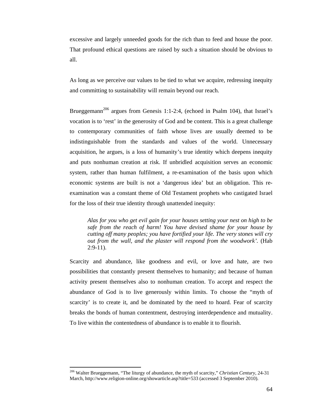excessive and largely unneeded goods for the rich than to feed and house the poor. That profound ethical questions are raised by such a situation should be obvious to all.

As long as we perceive our values to be tied to what we acquire, redressing inequity and committing to sustainability will remain beyond our reach.

Brueggemann<sup>206</sup> argues from Genesis 1:1-2:4, (echoed in Psalm 104), that Israel's vocation is to 'rest' in the generosity of God and be content. This is a great challenge to contemporary communities of faith whose lives are usually deemed to be indistinguishable from the standards and values of the world. Unnecessary acquisition, he argues, is a loss of humanity's true identity which deepens inequity and puts nonhuman creation at risk. If unbridled acquisition serves an economic system, rather than human fulfilment, a re-examination of the basis upon which economic systems are built is not a 'dangerous idea' but an obligation. This reexamination was a constant theme of Old Testament prophets who castigated Israel for the loss of their true identity through unattended inequity:

*Alas for you who get evil gain for your houses setting your nest on high to be safe from the reach of harm! You have devised shame for your house by cutting off many peoples; you have fortified your life. The very stones will cry out from the wall, and the plaster will respond from the woodwork'.* (Hab  $2:9-11$ ).

Scarcity and abundance, like goodness and evil, or love and hate, are two possibilities that constantly present themselves to humanity; and because of human activity present themselves also to nonhuman creation. To accept and respect the abundance of God is to live generously within limits. To choose the "myth of scarcity' is to create it, and be dominated by the need to hoard. Fear of scarcity breaks the bonds of human contentment, destroying interdependence and mutuality. To live within the contentedness of abundance is to enable it to flourish.

<sup>206</sup> Walter Brueggemann, "The liturgy of abundance, the myth of scarcity," *Christian Century*, 24-31 March, http://www.religion-online.org/showarticle.asp?title=533 (accessed 3 September 2010).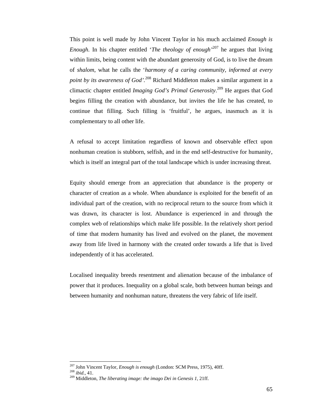This point is well made by John Vincent Taylor in his much acclaimed *Enough is Enough*. In his chapter entitled '*The theology of enough'*207 he argues that living within limits, being content with the abundant generosity of God, is to live the dream of *shalom*, what he calls the '*harmony of a caring community, informed at every point by its awareness of God'.*<sup>208</sup> Richard Middleton makes a similar argument in a climactic chapter entitled *Imaging God's Primal Generosity*. 209 He argues that God begins filling the creation with abundance, but invites the life he has created, to continue that filling. Such filling is 'fruitful', he argues, inasmuch as it is complementary to all other life.

A refusal to accept limitation regardless of known and observable effect upon nonhuman creation is stubborn, selfish, and in the end self-destructive for humanity, which is itself an integral part of the total landscape which is under increasing threat.

Equity should emerge from an appreciation that abundance is the property or character of creation as a whole. When abundance is exploited for the benefit of an individual part of the creation, with no reciprocal return to the source from which it was drawn, its character is lost. Abundance is experienced in and through the complex web of relationships which make life possible. In the relatively short period of time that modern humanity has lived and evolved on the planet, the movement away from life lived in harmony with the created order towards a life that is lived independently of it has accelerated.

Localised inequality breeds resentment and alienation because of the imbalance of power that it produces. Inequality on a global scale, both between human beings and between humanity and nonhuman nature, threatens the very fabric of life itself.

<sup>&</sup>lt;sup>207</sup> John Vincent Taylor, *Enough is enough* (London: SCM Press, 1975), 40ff.

<sup>208</sup> *ibid.*, 41.<br><sup>208</sup> *ibid.*, 41. *Pop Middleton, The liberating image: the imago Dei in Genesis 1, 21ff.* 2016.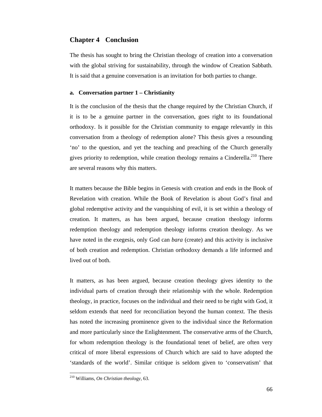## **Chapter 4 Conclusion**

The thesis has sought to bring the Christian theology of creation into a conversation with the global striving for sustainability, through the window of Creation Sabbath. It is said that a genuine conversation is an invitation for both parties to change.

### **a. Conversation partner 1 – Christianity**

It is the conclusion of the thesis that the change required by the Christian Church, if it is to be a genuine partner in the conversation, goes right to its foundational orthodoxy. Is it possible for the Christian community to engage relevantly in this conversation from a theology of redemption alone? This thesis gives a resounding 'no' to the question, and yet the teaching and preaching of the Church generally gives priority to redemption, while creation theology remains a Cinderella.<sup>210</sup> There are several reasons why this matters.

It matters because the Bible begins in Genesis with creation and ends in the Book of Revelation with creation. While the Book of Revelation is about God's final and global redemptive activity and the vanquishing of evil, it is set within a theology of creation. It matters, as has been argued, because creation theology informs redemption theology and redemption theology informs creation theology. As we have noted in the exegesis, only God can *bara* (create) and this activity is inclusive of both creation and redemption. Christian orthodoxy demands a life informed and lived out of both.

It matters, as has been argued, because creation theology gives identity to the individual parts of creation through their relationship with the whole. Redemption theology, in practice, focuses on the individual and their need to be right with God, it seldom extends that need for reconciliation beyond the human context. The thesis has noted the increasing prominence given to the individual since the Reformation and more particularly since the Enlightenment. The conservative arms of the Church, for whom redemption theology is the foundational tenet of belief, are often very critical of more liberal expressions of Church which are said to have adopted the 'standards of the world'. Similar critique is seldom given to 'conservatism' that

<sup>210</sup> Williams, *On Christian theology,* 63.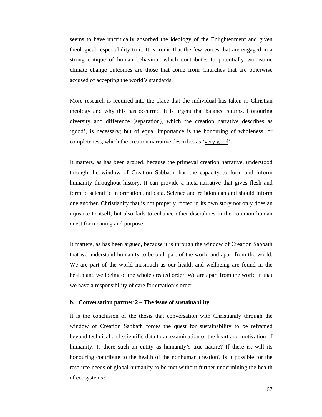seems to have uncritically absorbed the ideology of the Enlightenment and given theological respectability to it. It is ironic that the few voices that are engaged in a strong critique of human behaviour which contributes to potentially worrisome climate change outcomes are those that come from Churches that are otherwise accused of accepting the world's standards.

More research is required into the place that the individual has taken in Christian theology and why this has occurred. It is urgent that balance returns. Honouring diversity and difference (separation), which the creation narrative describes as 'good', is necessary; but of equal importance is the honouring of wholeness, or completeness, which the creation narrative describes as 'very good'.

It matters, as has been argued, because the primeval creation narrative, understood through the window of Creation Sabbath, has the capacity to form and inform humanity throughout history. It can provide a meta-narrative that gives flesh and form to scientific information and data. Science and religion can and should inform one another. Christianity that is not properly rooted in its own story not only does an injustice to itself, but also fails to enhance other disciplines in the common human quest for meaning and purpose.

It matters, as has been argued, because it is through the window of Creation Sabbath that we understand humanity to be both part of the world and apart from the world. We are part of the world inasmuch as our health and wellbeing are found in the health and wellbeing of the whole created order. We are apart from the world in that we have a responsibility of care for creation's order.

### **b. Conversation partner 2 – The issue of sustainability**

It is the conclusion of the thesis that conversation with Christianity through the window of Creation Sabbath forces the quest for sustainability to be reframed beyond technical and scientific data to an examination of the heart and motivation of humanity. Is there such an entity as humanity's true nature? If there is, will its honouring contribute to the health of the nonhuman creation? Is it possible for the resource needs of global humanity to be met without further undermining the health of ecosystems?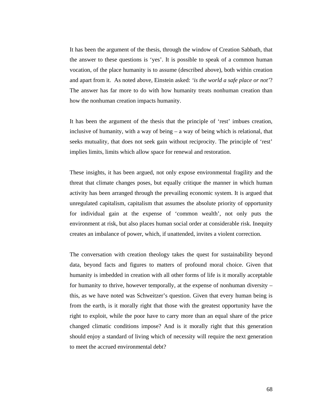It has been the argument of the thesis, through the window of Creation Sabbath, that the answer to these questions is 'yes'. It is possible to speak of a common human vocation, of the place humanity is to assume (described above), both within creation and apart from it. As noted above, Einstein asked: *'is the world a safe place or not'*? The answer has far more to do with how humanity treats nonhuman creation than how the nonhuman creation impacts humanity.

It has been the argument of the thesis that the principle of 'rest' imbues creation, inclusive of humanity, with a way of being – a way of being which is relational, that seeks mutuality, that does not seek gain without reciprocity. The principle of 'rest' implies limits, limits which allow space for renewal and restoration.

These insights, it has been argued, not only expose environmental fragility and the threat that climate changes poses, but equally critique the manner in which human activity has been arranged through the prevailing economic system. It is argued that unregulated capitalism, capitalism that assumes the absolute priority of opportunity for individual gain at the expense of 'common wealth', not only puts the environment at risk, but also places human social order at considerable risk. Inequity creates an imbalance of power, which, if unattended, invites a violent correction.

The conversation with creation theology takes the quest for sustainability beyond data, beyond facts and figures to matters of profound moral choice. Given that humanity is imbedded in creation with all other forms of life is it morally acceptable for humanity to thrive, however temporally, at the expense of nonhuman diversity – this, as we have noted was Schweitzer's question. Given that every human being is from the earth, is it morally right that those with the greatest opportunity have the right to exploit, while the poor have to carry more than an equal share of the price changed climatic conditions impose? And is it morally right that this generation should enjoy a standard of living which of necessity will require the next generation to meet the accrued environmental debt?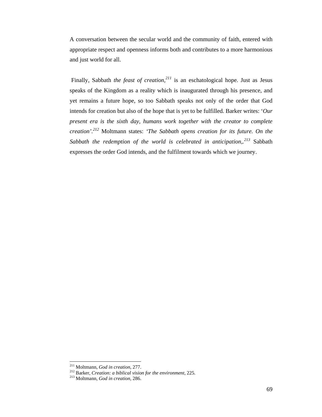A conversation between the secular world and the community of faith, entered with appropriate respect and openness informs both and contributes to a more harmonious and just world for all.

 Finally, Sabbath *the feast of creation,<sup>211</sup>* is an eschatological hope. Just as Jesus speaks of the Kingdom as a reality which is inaugurated through his presence, and yet remains a future hope, so too Sabbath speaks not only of the order that God intends for creation but also of the hope that is yet to be fulfilled. Barker writes: '*Our present era is the sixth day, humans work together with the creator to complete creation'.<sup>212</sup>* Moltmann states: *'The Sabbath opens creation for its future. On the Sabbath the redemption of the world is celebrated in anticipation,.213* Sabbath expresses the order God intends, and the fulfilment towards which we journey.

<sup>&</sup>lt;sup>211</sup> Moltmann, God in creation, 277.

<sup>211</sup> Moltmann, *God in creation,* 277. 212 Barker, *Creation: a biblical vision for the environment,* 225. 213 Moltmann, *God in creation,* 286.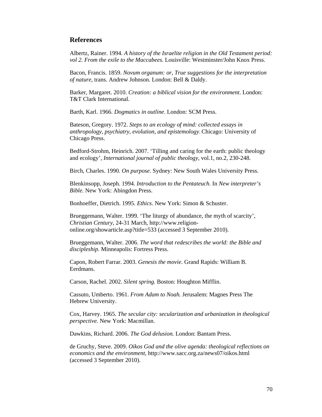## **References**

Albertz, Rainer. 1994. *A history of the Israelite religion in the Old Testament period: vol 2. From the exile to the Maccabees.* Louisville: Westminster/John Knox Press.

Bacon, Francis. 1859. *Novum organum: or, True suggestions for the interpretation of nature,* trans. Andrew Johnson*.* London: Bell & Daldy.

Barker, Margaret. 2010. *Creation: a biblical vision for the environment*. London: T&T Clark International.

Barth, Karl. 1966. *Dogmatics in outline*. London: SCM Press.

Bateson, Gregory. 1972. *Steps to an ecology of mind: collected essays in anthropology, psychiatry, evolution, and epistemology*. Chicago: University of Chicago Press.

Bedford-Strohm, Heinrich. 2007. 'Tilling and caring for the earth: public theology and ecology', *International journal of public theology*, vol.1, no.2, 230-248.

Birch, Charles. 1990. *On purpose*. Sydney: New South Wales University Press.

Blenkinsopp, Joseph. 1994. *Introduction to the Pentateuch.* In *New interpreter's Bible.* New York: Abingdon Press.

Bonhoeffer, Dietrich. 1995. *Ethics*. New York: Simon & Schuster.

Brueggemann, Walter. 1999. 'The liturgy of abundance, the myth of scarcity', *Christian Century*, 24-31 March, http://www.religiononline.org/showarticle.asp?title=533 (accessed 3 September 2010).

Brueggemann, Walter. 2006. *The word that redescribes the world: the Bible and discipleship.* Minneapolis: Fortress Press.

Capon, Robert Farrar. 2003. *Genesis the movie.* Grand Rapids: William B. Eerdmans.

Carson, Rachel. 2002. *Silent spring.* Boston: Houghton Mifflin.

Cassuto, Umberto. 1961. *From Adam to Noah.* Jerusalem: Magnes Press The Hebrew University.

Cox, Harvey. 1965. *The secular city: secularization and urbanization in theological perspective.* New York: Macmillan.

Dawkins, Richard. 2006. *The God delusion.* London: Bantam Press.

de Gruchy, Steve. 2009. *Oikos God and the olive agenda: theological reflections on economics and the environment*, http://www.sacc.org.za/news07/oikos.html (accessed 3 September 2010).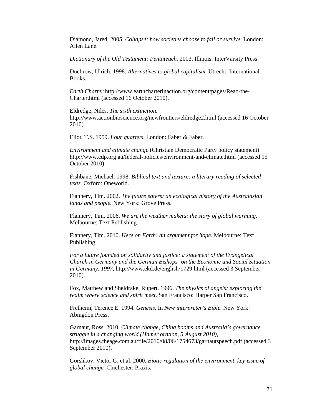Diamond, Jared. 2005. *Collapse: how societies choose to fail or survive.* London: Allen Lane.

*Dictionary of the Old Testament: Pentateuch.* 2003. Illinois: InterVarsity Press.

Duchrow, Ulrich. 1998. *Alternatives to global capitalism.* Utrecht: International Books.

*Earth Charter* http://www.earthcharterinaction.org/content/pages/Read-the-Charter.html (accessed 16 October 2010).

Eldredge, Niles. *The sixth extinction.* http://www.actionbioscience.org/newfrontiers/eldredge2.html (accessed 16 October 2010).

Eliot, T.S. 1959. *Four quartets*. London: Faber & Faber.

*Environment and climate change* (Christian Democratic Party policy statement) http://www.cdp.org.au/federal-policies/environment-and-climate.html (accessed 15 October 2010).

Fishbane, Michael. 1998. *Biblical text and texture: a literary reading of selected texts.* Oxford: Oneworld.

Flannery, Tim. 2002. *The future eaters: an ecological history of the Australasian lands and people.* New York: Grove Press.

Flannery, Tim. 2006. *We are the weather makers: the story of global warming.* Melbourne: Text Publishing.

Flannery, Tim. 2010. *Here on Earth: an argument for hope.* Melbourne: Text Publishing.

*For a future founded on solidarity and justice: a statement of the Evangelical Church in Germany and the German Bishops' on the Economic and Social Situation in Germany, 1997*, http://www.ekd.de/english/1729.html (accessed 3 September 2010).

Fox, Matthew and Sheldrake, Rupert. 1996. *The physics of angels: exploring the realm where science and spirit meet*. San Francisco: Harper San Francisco.

Fretheim, Terence E. 1994. *Genesis*. In *New interpreter's Bible.* New York: Abingdon Press.

Garnaut, Ross. 2010. *Climate change, China booms and Australia's governance struggle in a changing world (Hamer oration, 5 August 2010)*, http://images.theage.com.au/file/2010/08/06/1754673/garnautspeech.pdf (accessed 3 September 2010).

Gorshkov, Victor G, et al. 2000. *Biotic regulation of the environment. key issue of global change.* Chichester: Praxis.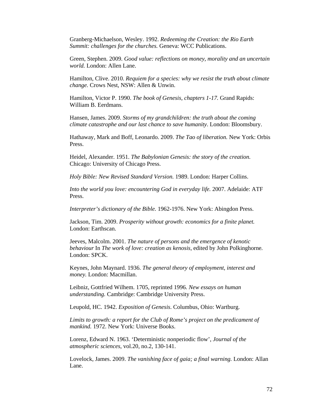Granberg-Michaelson, Wesley. 1992. *Redeeming the Creation: the Rio Earth Summit: challenges for the churches.* Geneva: WCC Publications.

Green, Stephen. 2009. *Good value: reflections on money, morality and an uncertain world.* London: Allen Lane.

Hamilton, Clive. 2010. *Requiem for a species: why we resist the truth about climate change.* Crows Nest, NSW: Allen & Unwin.

Hamilton, Victor P. 1990. *The book of Genesis, chapters 1-17.* Grand Rapids: William B. Eerdmans.

Hansen, James. 2009. *Storms of my grandchildren: the truth about the coming climate catastrophe and our last chance to save humanity*. London: Bloomsbury.

Hathaway, Mark and Boff, Leonardo. 2009. *The Tao of liberation.* New York: Orbis Press.

Heidel, Alexander. 1951. *The Babylonian Genesis: the story of the creation.* Chicago: University of Chicago Press.

*Holy Bible: New Revised Standard Version.* 1989. London: Harper Collins.

*Into the world you love: encountering God in everyday life.* 2007. Adelaide: ATF Press.

*Interpreter's dictionary of the Bible.* 1962-1976. New York: Abingdon Press.

Jackson, Tim. 2009. *Prosperity without growth: economics for a finite planet.* London: Earthscan.

Jeeves, Malcolm. 2001. *The nature of persons and the emergence of kenotic behaviour* In *The work of love: creation as kenosis,* edited by John Polkinghorne*.*  London: SPCK.

Keynes, John Maynard. 1936. *The general theory of employment, interest and money.* London: Macmillan.

Leibniz, Gottfried Wilhem. 1705, reprinted 1996. *New essays on human understanding.* Cambridge: Cambridge University Press.

Leupold, HC. 1942. *Exposition of Genesis*. Columbus, Ohio: Wartburg.

Limits to growth: a report for the Club of Rome's project on the predicament of *mankind.* 1972. New York: Universe Books.

Lorenz, Edward N. 1963. 'Deterministic nonperiodic flow', *Journal of the atmospheric sciences*, vol.20, no.2, 130-141.

Lovelock, James. 2009. *The vanishing face of gaia; a final warning.* London: Allan Lane.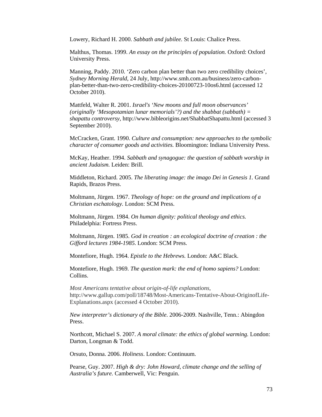Lowery, Richard H. 2000. *Sabbath and jubilee.* St Louis: Chalice Press.

Malthus, Thomas. 1999. *An essay on the principles of population.* Oxford: Oxford University Press.

Manning, Paddy. 2010. 'Zero carbon plan better than two zero credibility choices', *Sydney Morning Herald*, 24 July, http://www.smh.com.au/business/zero-carbonplan-better-than-two-zero-credibility-choices-20100723-10os6.html (accessed 12 October 2010).

Mattfeld, Walter R. 2001. *Israel's 'New moons and full moon observances' (originally 'Mesopotamian lunar memorials'?) and the shabbat (sabbath) = shapattu controversy,* http://www.bibleorigins.net/ShabbatShapattu.html (accessed 3 September 2010).

McCracken, Grant. 1990. *Culture and consumption: new approaches to the symbolic character of consumer goods and activities.* Bloomington: Indiana University Press.

McKay, Heather. 1994. *Sabbath and synagogue: the question of sabbath worship in ancient Judaism.* Leiden: Brill.

Middleton, Richard. 2005. *The liberating image: the imago Dei in Genesis 1.* Grand Rapids, Brazos Press.

Moltmann, Jürgen. 1967. *Theology of hope: on the ground and implications of a Christian eschatology.* London: SCM Press.

Moltmann, Jürgen. 1984. *On human dignity: political theology and ethics.* Philadelphia: Fortress Press.

Moltmann, Jürgen. 1985. *God in creation : an ecological doctrine of creation : the Gifford lectures 1984-1985.* London: SCM Press.

Montefiore, Hugh. 1964. *Epistle to the Hebrews.* London: A&C Black.

Montefiore, Hugh. 1969. *The question mark: the end of homo sapiens?* London: Collins.

*Most Americans tentative about origin-of-life explanations*, http://www.gallup.com/poll/18748/Most-Americans-Tentative-About-OriginofLife-Explanations.aspx (accessed 4 October 2010).

*New interpreter's dictionary of the Bible*. 2006-2009. Nashville, Tenn.: Abingdon Press.

Northcott, Michael S. 2007. *A moral climate: the ethics of global warming.* London: Darton, Longman & Todd.

Orsuto, Donna. 2006. *Holiness*. London: Continuum.

Pearse, Guy. 2007. *High & dry: John Howard, climate change and the selling of Australia's future.* Camberwell, Vic: Penguin.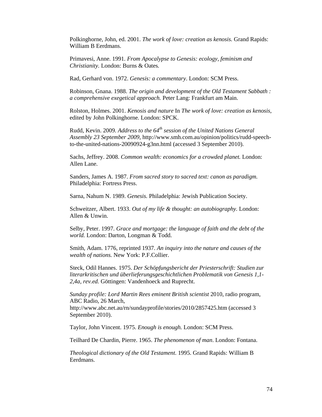Polkinghorne, John, ed. 2001. *The work of love: creation as kenosis.* Grand Rapids: William B Eerdmans.

Primavesi, Anne. 1991*. From Apocalypse to Genesis: ecology, feminism and Christianity.* London: Burns & Oates*.* 

Rad, Gerhard von. 1972. *Genesis: a commentary*. London: SCM Press.

Robinson, Gnana. 1988. *The origin and development of the Old Testament Sabbath : a comprehensive exegetical approach.* Peter Lang: Frankfurt am Main.

Rolston, Holmes. 2001. *Kenosis and nature* In *The work of love: creation as kenosis,*  edited by John Polkinghorne*.* London: SPCK.

Rudd, Kevin. 2009. *Address to the 64th session of the United Nations General Assembly 23 September 2009*, http://www.smh.com.au/opinion/politics/rudd-speechto-the-united-nations-20090924-g3nn.html (accessed 3 September 2010).

Sachs, Jeffrey. 2008. *Common wealth: economics for a crowded planet.* London: Allen Lane.

Sanders, James A. 1987. *From sacred story to sacred text: canon as paradigm.* Philadelphia: Fortress Press.

Sarna, Nahum N. 1989. *Genesis.* Philadelphia: Jewish Publication Society.

Schweitzer, Albert. 1933. *Out of my life & thought: an autobiography.* London: Allen & Unwin.

Selby, Peter. 1997. *Grace and mortgage: the language of faith and the debt of the world.* London: Darton, Longman & Todd.

Smith, Adam. 1776, reprinted 1937. *An inquiry into the nature and causes of the wealth of nations.* New York: P.F.Collier.

Steck, Odil Hannes. 1975. *Der Schöpfungsbericht der Priesterschrift: Studien zur literarkritischen und überlieferungsgeschichtlichen Problematik von Genesis 1,1- 2,4a, rev.ed.* Göttingen: Vandenhoeck and Ruprecht.

*Sunday profile: Lord Martin Rees eminent British scientist* 2010, radio program, ABC Radio, 26 March,

http://www.abc.net.au/rn/sundayprofile/stories/2010/2857425.htm (accessed 3 September 2010).

Taylor, John Vincent. 1975. *Enough is enough.* London: SCM Press.

Teilhard De Chardin, Pierre. 1965. *The phenomenon of man*. London: Fontana.

*Theological dictionary of the Old Testament*. 1995. Grand Rapids: William B Eerdmans.